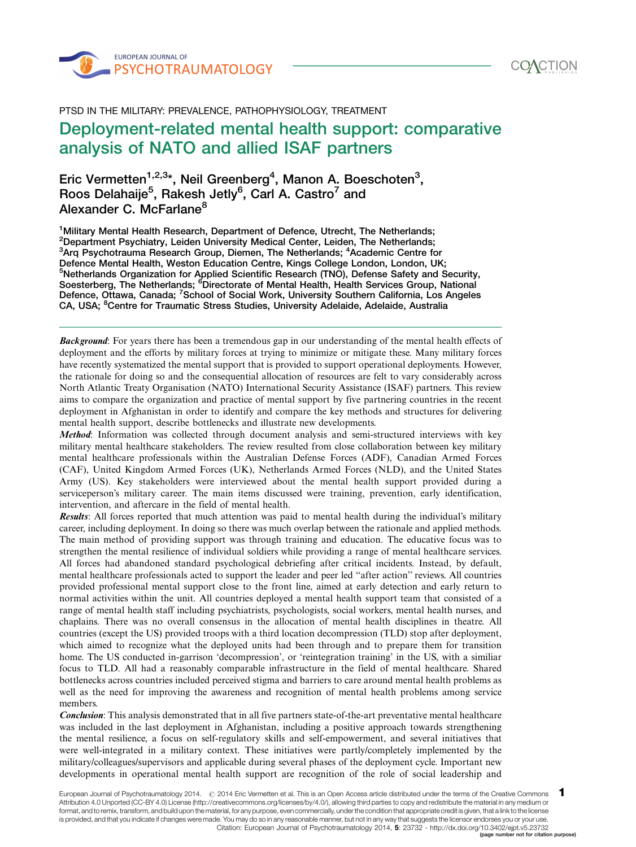



PTSD IN THE MILITARY: PREVALENCE, PATHOPHYSIOLOGY, TREATMENT -

# Deployment-related mental health support: comparative analysis of NATO and allied ISAF partners

Eric Vermetten<sup>1,2,3</sup>\*, Neil Greenberg<sup>4</sup>, Manon A. Boeschoten<sup>3</sup>, Roos Delahaije $^5$ , Rakesh Jetly $^6$ , Carl A. Castro $^7$  and Alexander C. McFarlane<sup>8</sup>

<sup>1</sup>Military Mental Health Research, Department of Defence, Utrecht, The Netherlands; <sup>2</sup>Department Psychiatry, Leiden University Medical Center, Leiden, The Netherlands; <sup>3</sup>Arq Psychotrauma Research Group, Diemen, The Netherlands; <sup>4</sup>Academic Centre for Defence Mental Health, Weston Education Centre, Kings College London, London, UK; <sup>5</sup>Netherlands Organization for Applied Scientific Research (TNO), Defense Safety and Security, Soesterberg, The Netherlands; <sup>6</sup>Directorate of Mental Health, Health Services Group, National Defence, Ottawa, Canada; <sup>7</sup>School of Social Work, University Southern California, Los Angeles CA, USA; <sup>8</sup>Centre for Traumatic Stress Studies, University Adelaide, Adelaide, Australia

**Background:** For years there has been a tremendous gap in our understanding of the mental health effects of deployment and the efforts by military forces at trying to minimize or mitigate these. Many military forces have recently systematized the mental support that is provided to support operational deployments. However, the rationale for doing so and the consequential allocation of resources are felt to vary considerably across North Atlantic Treaty Organisation (NATO) International Security Assistance (ISAF) partners. This review aims to compare the organization and practice of mental support by five partnering countries in the recent deployment in Afghanistan in order to identify and compare the key methods and structures for delivering mental health support, describe bottlenecks and illustrate new developments.

Method: Information was collected through document analysis and semi-structured interviews with key military mental healthcare stakeholders. The review resulted from close collaboration between key military mental healthcare professionals within the Australian Defense Forces (ADF), Canadian Armed Forces (CAF), United Kingdom Armed Forces (UK), Netherlands Armed Forces (NLD), and the United States Army (US). Key stakeholders were interviewed about the mental health support provided during a serviceperson's military career. The main items discussed were training, prevention, early identification, intervention, and aftercare in the field of mental health.

Results: All forces reported that much attention was paid to mental health during the individual's military career, including deployment. In doing so there was much overlap between the rationale and applied methods. The main method of providing support was through training and education. The educative focus was to strengthen the mental resilience of individual soldiers while providing a range of mental healthcare services. All forces had abandoned standard psychological debriefing after critical incidents. Instead, by default, mental healthcare professionals acted to support the leader and peer led ''after action'' reviews. All countries provided professional mental support close to the front line, aimed at early detection and early return to normal activities within the unit. All countries deployed a mental health support team that consisted of a range of mental health staff including psychiatrists, psychologists, social workers, mental health nurses, and chaplains. There was no overall consensus in the allocation of mental health disciplines in theatre. All countries (except the US) provided troops with a third location decompression (TLD) stop after deployment, which aimed to recognize what the deployed units had been through and to prepare them for transition home. The US conducted in-garrison 'decompression', or 'reintegration training' in the US, with a similiar focus to TLD. All had a reasonably comparable infrastructure in the field of mental healthcare. Shared bottlenecks across countries included perceived stigma and barriers to care around mental health problems as well as the need for improving the awareness and recognition of mental health problems among service members.

Conclusion: This analysis demonstrated that in all five partners state-of-the-art preventative mental healthcare was included in the last deployment in Afghanistan, including a positive approach towards strengthening the mental resilience, a focus on self-regulatory skills and self-empowerment, and several initiatives that were well-integrated in a military context. These initiatives were partly/completely implemented by the military/colleagues/supervisors and applicable during several phases of the deployment cycle. Important new developments in operational mental health support are recognition of the role of social leadership and

1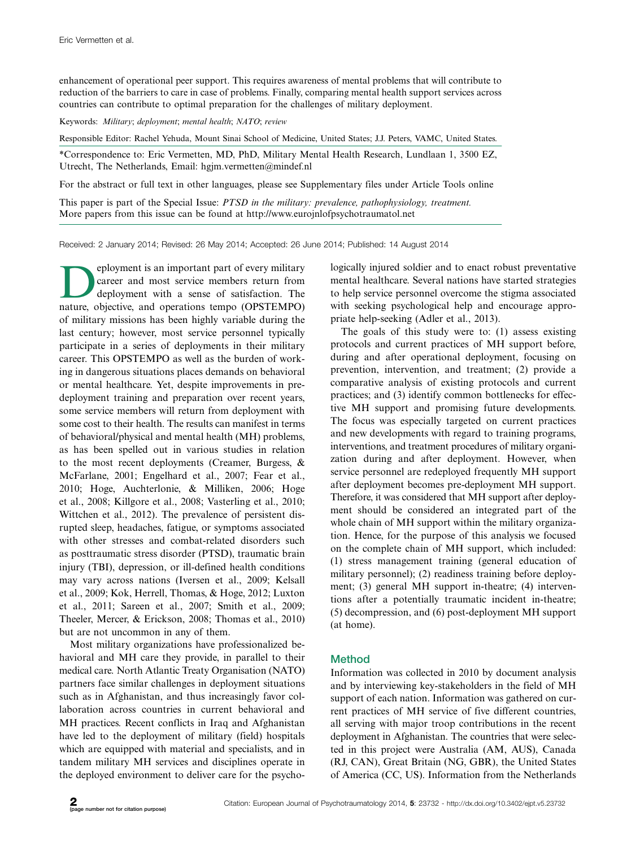<span id="page-1-0"></span>enhancement of operational peer support. This requires awareness of mental problems that will contribute to reduction of the barriers to care in case of problems. Finally, comparing mental health support services across countries can contribute to optimal preparation for the challenges of military deployment.

Keywords: Military; deployment; mental health; NATO; review

Responsible Editor: Rachel Yehuda, Mount Sinai School of Medicine, United States; J.J. Peters, VAMC, United States.

\*Correspondence to: Eric Vermetten, MD, PhD, Military Mental Health Research, Lundlaan 1, 3500 EZ, Utrecht, The Netherlands, Email: hgjm.vermetten@mindef.nl

[For the abstract or full text in other languages, please see Supplementary files under Article Tools online](http://www.eurojnlofpsychotraumatol.net/index.php/ejpt/rt/suppFiles/23732/0)

This paper is part of the Special Issue: [PTSD in the military: prevalence, pathophysiology, treatment.](http://www.ejpt.net/index.php/ejpt/issue/view/1603#PTSD%20in%20the%20military:%20prevalence,%20pathophysiology,%20treatment) [More papers from this issue can be found at http://www.eurojnlofpsychotraumatol.net](http://www.ejpt.net/index.php/ejpt/issue/view/1603#PTSD%20in%20the%20military:%20prevalence,%20pathophysiology,%20treatment)

Received: 2 January 2014; Revised: 26 May 2014; Accepted: 26 June 2014; Published: 14 August 2014

Peployment is an important part of every military<br>deployment with a sense of satisfaction. The<br>nature objective and operations tempo (OPSTEMPO) career and most service members return from deployment with a sense of satisfaction. The nature, objective, and operations tempo (OPSTEMPO) of military missions has been highly variable during the last century; however, most service personnel typically participate in a series of deployments in their military career. This OPSTEMPO as well as the burden of working in dangerous situations places demands on behavioral or mental healthcare. Yet, despite improvements in predeployment training and preparation over recent years, some service members will return from deployment with some cost to their health. The results can manifest in terms of behavioral/physical and mental health (MH) problems, as has been spelled out in various studies in relation to the most recent deployments (Creamer, Burgess, & McFarlane, 2001; Engelhard et al., 2007; Fear et al., 2010; Hoge, Auchterlonie, & Milliken, 2006; Hoge et al., 2008; Killgore et al., 2008; Vasterling et al., 2010; Wittchen et al., 2012). The prevalence of persistent disrupted sleep, headaches, fatigue, or symptoms associated with other stresses and combat-related disorders such as posttraumatic stress disorder (PTSD), traumatic brain injury (TBI), depression, or ill-defined health conditions may vary across nations (Iversen et al., 2009; Kelsall et al., 2009; Kok, Herrell, Thomas, & Hoge, 2012; Luxton et al., 2011; Sareen et al., 2007; Smith et al., 2009; Theeler, Mercer, & Erickson, 2008; Thomas et al., 2010) but are not uncommon in any of them.

Most military organizations have professionalized behavioral and MH care they provide, in parallel to their medical care. North Atlantic Treaty Organisation (NATO) partners face similar challenges in deployment situations such as in Afghanistan, and thus increasingly favor collaboration across countries in current behavioral and MH practices. Recent conflicts in Iraq and Afghanistan have led to the deployment of military (field) hospitals which are equipped with material and specialists, and in tandem military MH services and disciplines operate in the deployed environment to deliver care for the psychologically injured soldier and to enact robust preventative mental healthcare. Several nations have started strategies to help service personnel overcome the stigma associated with seeking psychological help and encourage appropriate help-seeking (Adler et al., 2013).

The goals of this study were to: (1) assess existing protocols and current practices of MH support before, during and after operational deployment, focusing on prevention, intervention, and treatment; (2) provide a comparative analysis of existing protocols and current practices; and (3) identify common bottlenecks for effective MH support and promising future developments. The focus was especially targeted on current practices and new developments with regard to training programs, interventions, and treatment procedures of military organization during and after deployment. However, when service personnel are redeployed frequently MH support after deployment becomes pre-deployment MH support. Therefore, it was considered that MH support after deployment should be considered an integrated part of the whole chain of MH support within the military organization. Hence, for the purpose of this analysis we focused on the complete chain of MH support, which included: (1) stress management training (general education of military personnel); (2) readiness training before deployment; (3) general MH support in-theatre; (4) interventions after a potentially traumatic incident in-theatre; (5) decompression, and (6) post-deployment MH support (at home).

# Method

Information was collected in 2010 by document analysis and by interviewing key-stakeholders in the field of MH support of each nation. Information was gathered on current practices of MH service of five different countries, all serving with major troop contributions in the recent deployment in Afghanistan. The countries that were selected in this project were Australia (AM, AUS), Canada (RJ, CAN), Great Britain (NG, GBR), the United States of America (CC, US). Information from the Netherlands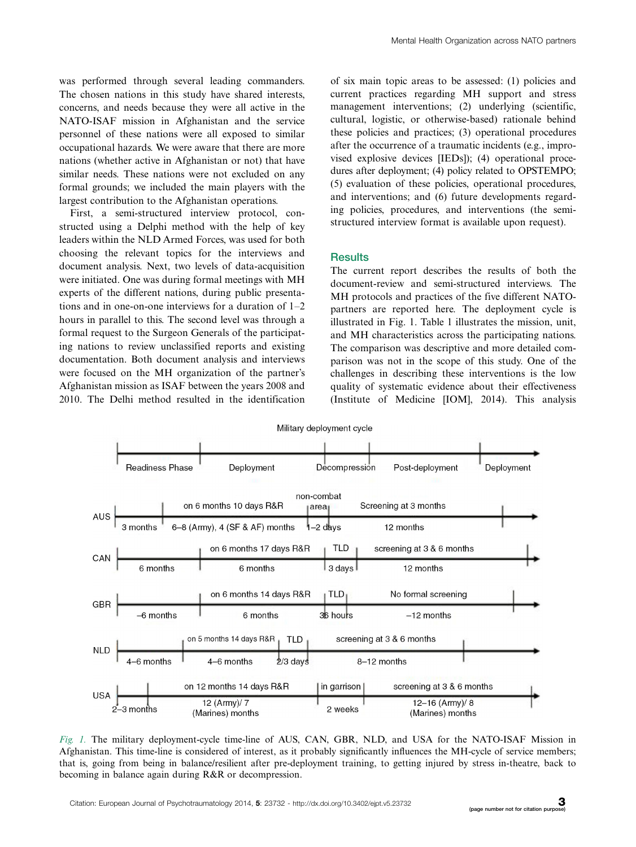was performed through several leading commanders. The chosen nations in this study have shared interests, concerns, and needs because they were all active in the NATO-ISAF mission in Afghanistan and the service personnel of these nations were all exposed to similar occupational hazards. We were aware that there are more nations (whether active in Afghanistan or not) that have similar needs. These nations were not excluded on any formal grounds; we included the main players with the largest contribution to the Afghanistan operations.

First, a semi-structured interview protocol, constructed using a Delphi method with the help of key leaders within the NLD Armed Forces, was used for both choosing the relevant topics for the interviews and document analysis. Next, two levels of data-acquisition were initiated. One was during formal meetings with MH experts of the different nations, during public presentations and in one-on-one interviews for a duration of 1-2 hours in parallel to this. The second level was through a formal request to the Surgeon Generals of the participating nations to review unclassified reports and existing documentation. Both document analysis and interviews were focused on the MH organization of the partner's Afghanistan mission as ISAF between the years 2008 and 2010. The Delhi method resulted in the identification

of six main topic areas to be assessed: (1) policies and current practices regarding MH support and stress management interventions; (2) underlying (scientific, cultural, logistic, or otherwise-based) rationale behind these policies and practices; (3) operational procedures after the occurrence of a traumatic incidents (e.g., improvised explosive devices [IEDs]); (4) operational procedures after deployment; (4) policy related to OPSTEMPO; (5) evaluation of these policies, operational procedures, and interventions; and (6) future developments regarding policies, procedures, and interventions (the semistructured interview format is available upon request).

## **Results**

The current report describes the results of both the document-review and semi-structured interviews. The MH protocols and practices of the five different NATOpartners are reported here. The deployment cycle is illustrated in Fig. 1. Table 1 illustrates the mission, unit, and MH characteristics across the participating nations. The comparison was descriptive and more detailed comparison was not in the scope of this study. One of the challenges in describing these interventions is the low quality of systematic evidence about their effectiveness (Institute of Medicine [IOM], 2014). This analysis



Fig. 1. The military deployment-cycle time-line of AUS, CAN, GBR, NLD, and USA for the NATO-ISAF Mission in Afghanistan. This time-line is considered of interest, as it probably significantly influences the MH-cycle of service members; that is, going from being in balance/resilient after pre-deployment training, to getting injured by stress in-theatre, back to becoming in balance again during R&R or decompression.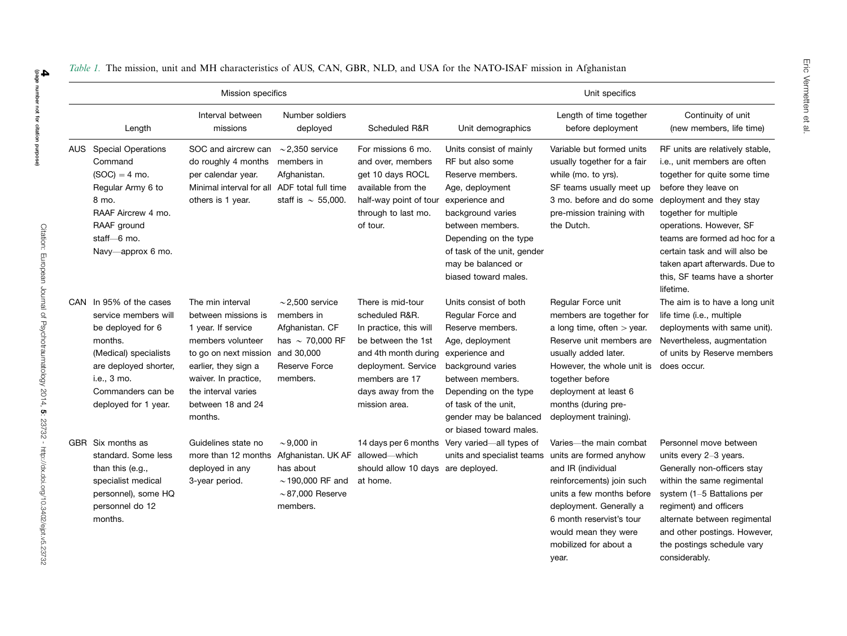|     |                                                                                                                                                                                           | Mission specifics                                                                                                                                                                                                  |                                                                                                                                 |                                                                                                                                                                                             |                                                                                                                                                                                                                                                     | Unit specifics                                                                                                                                                                                                                                               |                                                                                                                                                                                                                                                                                                                                                           |
|-----|-------------------------------------------------------------------------------------------------------------------------------------------------------------------------------------------|--------------------------------------------------------------------------------------------------------------------------------------------------------------------------------------------------------------------|---------------------------------------------------------------------------------------------------------------------------------|---------------------------------------------------------------------------------------------------------------------------------------------------------------------------------------------|-----------------------------------------------------------------------------------------------------------------------------------------------------------------------------------------------------------------------------------------------------|--------------------------------------------------------------------------------------------------------------------------------------------------------------------------------------------------------------------------------------------------------------|-----------------------------------------------------------------------------------------------------------------------------------------------------------------------------------------------------------------------------------------------------------------------------------------------------------------------------------------------------------|
|     | Length                                                                                                                                                                                    | Interval between<br>missions                                                                                                                                                                                       | Number soldiers<br>deployed                                                                                                     | Scheduled R&R                                                                                                                                                                               | Unit demographics                                                                                                                                                                                                                                   | Length of time together<br>before deployment                                                                                                                                                                                                                 | Continuity of unit<br>(new members, life time)                                                                                                                                                                                                                                                                                                            |
| AUS | <b>Special Operations</b><br>Command<br>$(SOC) = 4$ mo.<br>Regular Army 6 to<br>8 mo.<br>RAAF Aircrew 4 mo.<br>RAAF ground<br>staff-6 mo.<br>Navy-approx 6 mo.                            | SOC and aircrew can<br>do roughly 4 months<br>per calendar year.<br>Minimal interval for all ADF total full time<br>others is 1 year.                                                                              | $\sim$ 2,350 service<br>members in<br>Afghanistan.<br>staff is $\sim$ 55,000.                                                   | For missions 6 mo.<br>and over, members<br>get 10 days ROCL<br>available from the<br>half-way point of tour<br>through to last mo.<br>of tour.                                              | Units consist of mainly<br>RF but also some<br>Reserve members.<br>Age, deployment<br>experience and<br>background varies<br>between members.<br>Depending on the type<br>of task of the unit, gender<br>may be balanced or<br>biased toward males. | Variable but formed units<br>usually together for a fair<br>while (mo. to yrs).<br>SF teams usually meet up<br>3 mo. before and do some<br>pre-mission training with<br>the Dutch.                                                                           | RF units are relatively stable,<br>i.e., unit members are often<br>together for quite some time<br>before they leave on<br>deployment and they stay<br>together for multiple<br>operations. However, SF<br>teams are formed ad hoc for a<br>certain task and will also be<br>taken apart afterwards. Due to<br>this, SF teams have a shorter<br>lifetime. |
| CAN | In 95% of the cases<br>service members will<br>be deployed for 6<br>months.<br>(Medical) specialists<br>are deployed shorter,<br>i.e., 3 mo.<br>Commanders can be<br>deployed for 1 year. | The min interval<br>between missions is<br>1 year. If service<br>members volunteer<br>to go on next mission<br>earlier, they sign a<br>waiver. In practice,<br>the interval varies<br>between 18 and 24<br>months. | $\sim$ 2,500 service<br>members in<br>Afghanistan. CF<br>has $\sim$ 70,000 RF<br>and 30,000<br><b>Reserve Force</b><br>members. | There is mid-tour<br>scheduled R&R.<br>In practice, this will<br>be between the 1st<br>and 4th month during<br>deployment. Service<br>members are 17<br>days away from the<br>mission area. | Units consist of both<br>Regular Force and<br>Reserve members.<br>Age, deployment<br>experience and<br>background varies<br>between members.<br>Depending on the type<br>of task of the unit,<br>gender may be balanced<br>or biased toward males.  | Regular Force unit<br>members are together for<br>a long time, often $>$ year.<br>Reserve unit members are<br>usually added later.<br>However, the whole unit is<br>together before<br>deployment at least 6<br>months (during pre-<br>deployment training). | The aim is to have a long unit<br>life time (i.e., multiple<br>deployments with same unit).<br>Nevertheless, augmentation<br>of units by Reserve members<br>does occur.                                                                                                                                                                                   |
|     | GBR Six months as<br>standard. Some less<br>than this (e.g.,<br>specialist medical<br>personnel), some HQ<br>personnel do 12<br>months.                                                   | Guidelines state no<br>more than 12 months<br>deployed in any<br>3-year period.                                                                                                                                    | $\sim$ 9,000 in<br>Afghanistan. UK AF<br>has about<br>$\sim$ 190,000 RF and<br>$\sim$ 87,000 Reserve<br>members.                | 14 days per 6 months<br>allowed-which<br>should allow 10 days are deployed.<br>at home.                                                                                                     | Very varied-all types of<br>units and specialist teams                                                                                                                                                                                              | Varies-the main combat<br>units are formed anyhow<br>and IR (individual<br>reinforcements) join such<br>units a few months before<br>deployment. Generally a<br>6 month reservist's tour<br>would mean they were<br>mobilized for about a<br>year.           | Personnel move between<br>units every 2-3 years.<br>Generally non-officers stay<br>within the same regimental<br>system (1-5 Battalions per<br>regiment) and officers<br>alternate between regimental<br>and other postings. However,<br>the postings schedule vary<br>considerably.                                                                      |

Table 1. The mission, unit and MH characteristics of AUS, CAN, GBR, NLD, and USA for the NATO-ISAF mission in Afghanistan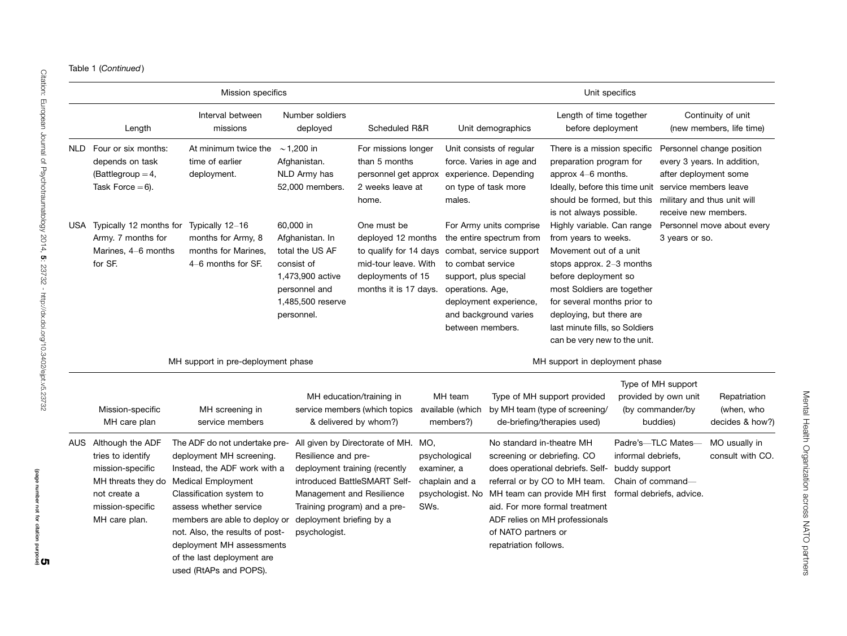|  |  | Table 1 (Continued) |
|--|--|---------------------|
|--|--|---------------------|

|                                                                                                                                          | Mission specifics                                                                                                                                                                                                                                                                                                                     |                                                                                                                                                                |                                                                                                                                   |                     |                                                           |                                                                                                                                                            | Unit specifics                                                                                                                                                                                                                                                                                |                                                          |                                                                            |                                                                                         |
|------------------------------------------------------------------------------------------------------------------------------------------|---------------------------------------------------------------------------------------------------------------------------------------------------------------------------------------------------------------------------------------------------------------------------------------------------------------------------------------|----------------------------------------------------------------------------------------------------------------------------------------------------------------|-----------------------------------------------------------------------------------------------------------------------------------|---------------------|-----------------------------------------------------------|------------------------------------------------------------------------------------------------------------------------------------------------------------|-----------------------------------------------------------------------------------------------------------------------------------------------------------------------------------------------------------------------------------------------------------------------------------------------|----------------------------------------------------------|----------------------------------------------------------------------------|-----------------------------------------------------------------------------------------|
| Length                                                                                                                                   | Interval between<br>missions                                                                                                                                                                                                                                                                                                          | Number soldiers<br>deployed                                                                                                                                    | Scheduled R&R                                                                                                                     |                     |                                                           | Unit demographics                                                                                                                                          | Length of time together<br>before deployment                                                                                                                                                                                                                                                  |                                                          |                                                                            | Continuity of unit<br>(new members, life time)                                          |
| NLD Four or six months:<br>depends on task<br>(Battlegroup $=4$ ,<br>Task Force $= 6$ ).                                                 | At minimum twice the<br>time of earlier<br>deployment.                                                                                                                                                                                                                                                                                | $\sim$ 1,200 in<br>Afghanistan.<br>NLD Army has<br>52,000 members.                                                                                             | For missions longer<br>than 5 months<br>personnel get approx<br>2 weeks leave at<br>home.                                         |                     | males.                                                    | Unit consists of regular<br>force. Varies in age and<br>experience. Depending<br>on type of task more                                                      | There is a mission specific<br>preparation program for<br>approx $4-6$ months.<br>Ideally, before this time unit service members leave<br>should be formed, but this<br>is not always possible.                                                                                               |                                                          | after deployment some<br>receive new members.                              | Personnel change position<br>every 3 years. In addition,<br>military and thus unit will |
| USA Typically 12 months for<br>Army. 7 months for<br>Marines, 4-6 months<br>for SF.                                                      | Typically 12-16<br>months for Army, 8<br>months for Marines.<br>$4-6$ months for SF.                                                                                                                                                                                                                                                  | 60,000 in<br>Afghanistan. In<br>total the US AF<br>consist of<br>1,473,900 active<br>personnel and<br>1,485,500 reserve<br>personnel.                          | One must be<br>deployed 12 months<br>to qualify for 14 days<br>mid-tour leave. With<br>deployments of 15<br>months it is 17 days. |                     | to combat service<br>operations. Age,<br>between members. | For Army units comprise<br>the entire spectrum from<br>combat, service support<br>support, plus special<br>deployment experience,<br>and background varies | Highly variable. Can range<br>from years to weeks.<br>Movement out of a unit<br>stops approx. $2-3$ months<br>before deployment so<br>most Soldiers are together<br>for several months prior to<br>deploying, but there are<br>last minute fills, so Soldiers<br>can be very new to the unit. |                                                          | 3 years or so.                                                             | Personnel move about every                                                              |
|                                                                                                                                          | MH support in pre-deployment phase                                                                                                                                                                                                                                                                                                    |                                                                                                                                                                |                                                                                                                                   |                     |                                                           |                                                                                                                                                            | MH support in deployment phase                                                                                                                                                                                                                                                                |                                                          |                                                                            |                                                                                         |
| Mission-specific<br>MH care plan                                                                                                         | MH screening in<br>service members                                                                                                                                                                                                                                                                                                    |                                                                                                                                                                | MH education/training in<br>service members (which topics<br>& delivered by whom?)                                                |                     | MH team<br>available (which<br>members?)                  |                                                                                                                                                            | Type of MH support provided<br>by MH team (type of screening/<br>de-briefing/therapies used)                                                                                                                                                                                                  |                                                          | Type of MH support<br>provided by own unit<br>(by commander/by<br>buddies) | Repatriation<br>(when, who<br>decides & how?)                                           |
| AUS Although the ADF<br>tries to identify<br>mission-specific<br>MH threats they do<br>not create a<br>mission-specific<br>MH care plan. | The ADF do not undertake pre-<br>deployment MH screening.<br>Instead, the ADF work with a<br><b>Medical Employment</b><br>Classification system to<br>assess whether service<br>members are able to deploy or<br>not. Also, the results of post-<br>deployment MH assessments<br>of the last deployment are<br>used (RtAPs and POPS). | Resilience and pre-<br>deployment training (recently<br>Management and Resilience<br>Training program) and a pre-<br>deployment briefing by a<br>psychologist. | All given by Directorate of MH. MO,<br>introduced BattleSMART Self-                                                               | examiner, a<br>SWs. | psychological<br>chaplain and a<br>psychologist. No       | No standard in-theatre MH<br>screening or debriefing. CO<br>of NATO partners or<br>repatriation follows.                                                   | does operational debriefs. Self-<br>referral or by CO to MH team.<br>MH team can provide MH first<br>aid. For more formal treatment<br>ADF relies on MH professionals                                                                                                                         | informal debriefs,<br>buddy support<br>Chain of command- | Padre's-TLC Mates-<br>formal debriefs, advice.                             | MO usually in<br>consult with CO.                                                       |

Mental Health Organization across NATO partners Mental Health Organization across NATO partners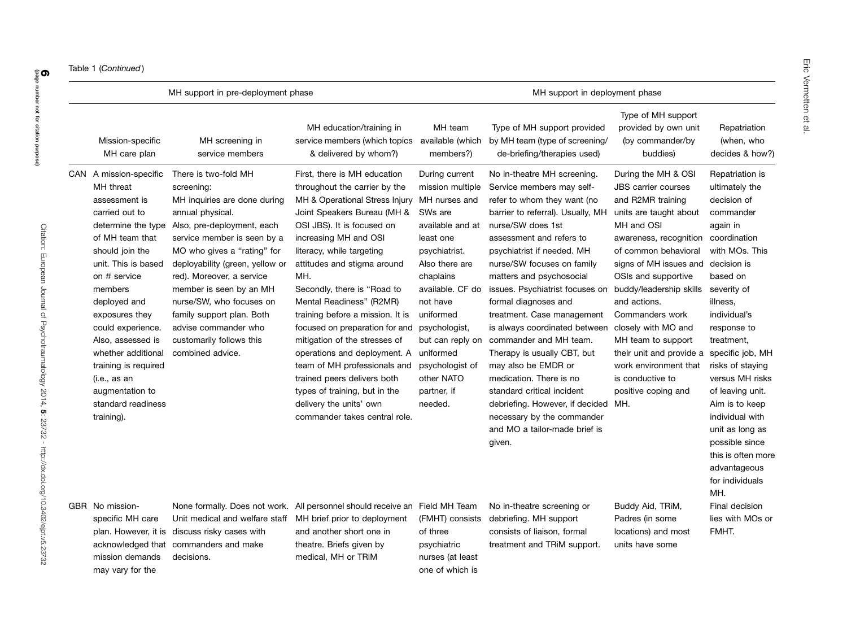|  | Table 1 (Continued) |
|--|---------------------|
|--|---------------------|

acknowledged that commanders and make

mission demands decisions.

may vary for the

|                                                                                                                                                                                                                                                                                                                                                                                       | MH support in pre-deployment phase                                                                                                                                                                                                                                                                                                                                                                             |                                                                                                                                                                                                                                                                                                                                                                                                                                                                                                                                                                                                                        |                                                                                                                                                                                                                                                                                                           | MH support in deployment phase                                                                                                                                                                                                                                                                                                                                                                                                                                                                                                                                                                                                                       |                                                                                                                                                                                                                                                                                                                                                                                                                                     |                                                                                                                                                                                                                                                                                                                                                                                                                                         |
|---------------------------------------------------------------------------------------------------------------------------------------------------------------------------------------------------------------------------------------------------------------------------------------------------------------------------------------------------------------------------------------|----------------------------------------------------------------------------------------------------------------------------------------------------------------------------------------------------------------------------------------------------------------------------------------------------------------------------------------------------------------------------------------------------------------|------------------------------------------------------------------------------------------------------------------------------------------------------------------------------------------------------------------------------------------------------------------------------------------------------------------------------------------------------------------------------------------------------------------------------------------------------------------------------------------------------------------------------------------------------------------------------------------------------------------------|-----------------------------------------------------------------------------------------------------------------------------------------------------------------------------------------------------------------------------------------------------------------------------------------------------------|------------------------------------------------------------------------------------------------------------------------------------------------------------------------------------------------------------------------------------------------------------------------------------------------------------------------------------------------------------------------------------------------------------------------------------------------------------------------------------------------------------------------------------------------------------------------------------------------------------------------------------------------------|-------------------------------------------------------------------------------------------------------------------------------------------------------------------------------------------------------------------------------------------------------------------------------------------------------------------------------------------------------------------------------------------------------------------------------------|-----------------------------------------------------------------------------------------------------------------------------------------------------------------------------------------------------------------------------------------------------------------------------------------------------------------------------------------------------------------------------------------------------------------------------------------|
| Mission-specific<br>MH care plan                                                                                                                                                                                                                                                                                                                                                      | MH screening in<br>service members                                                                                                                                                                                                                                                                                                                                                                             | MH education/training in<br>service members (which topics<br>& delivered by whom?)                                                                                                                                                                                                                                                                                                                                                                                                                                                                                                                                     | MH team<br>available (which<br>members?)                                                                                                                                                                                                                                                                  | Type of MH support provided<br>by MH team (type of screening/<br>de-briefing/therapies used)                                                                                                                                                                                                                                                                                                                                                                                                                                                                                                                                                         | Type of MH support<br>provided by own unit<br>(by commander/by<br>buddies)                                                                                                                                                                                                                                                                                                                                                          | Repatriation<br>(when, who<br>decides & how?)                                                                                                                                                                                                                                                                                                                                                                                           |
| CAN A mission-specific<br>MH threat<br>assessment is<br>carried out to<br>determine the type<br>of MH team that<br>should join the<br>unit. This is based<br>on # service<br>members<br>deployed and<br>exposures they<br>could experience.<br>Also, assessed is<br>whether additional<br>training is required<br>(i.e., as an<br>augmentation to<br>standard readiness<br>training). | There is two-fold MH<br>screening:<br>MH inquiries are done during<br>annual physical.<br>Also, pre-deployment, each<br>service member is seen by a<br>MO who gives a "rating" for<br>deployability (green, yellow or<br>red). Moreover, a service<br>member is seen by an MH<br>nurse/SW, who focuses on<br>family support plan. Both<br>advise commander who<br>customarily follows this<br>combined advice. | First, there is MH education<br>throughout the carrier by the<br>MH & Operational Stress Injury<br>Joint Speakers Bureau (MH &<br>OSI JBS). It is focused on<br>increasing MH and OSI<br>literacy, while targeting<br>attitudes and stigma around<br>MH.<br>Secondly, there is "Road to<br>Mental Readiness" (R2MR)<br>training before a mission. It is<br>focused on preparation for and<br>mitigation of the stresses of<br>operations and deployment. A<br>team of MH professionals and<br>trained peers delivers both<br>types of training, but in the<br>delivery the units' own<br>commander takes central role. | During current<br>mission multiple<br>MH nurses and<br>SWs are<br>available and at<br>least one<br>psychiatrist.<br>Also there are<br>chaplains<br>available. CF do<br>not have<br>uniformed<br>psychologist,<br>but can reply on<br>uniformed<br>psychologist of<br>other NATO<br>partner, if<br>needed. | No in-theatre MH screening.<br>Service members may self-<br>refer to whom they want (no<br>barrier to referral). Usually, MH<br>nurse/SW does 1st<br>assessment and refers to<br>psychiatrist if needed. MH<br>nurse/SW focuses on family<br>matters and psychosocial<br>issues. Psychiatrist focuses on<br>formal diagnoses and<br>treatment. Case management<br>is always coordinated between<br>commander and MH team.<br>Therapy is usually CBT, but<br>may also be EMDR or<br>medication. There is no<br>standard critical incident<br>debriefing. However, if decided<br>necessary by the commander<br>and MO a tailor-made brief is<br>given. | During the MH & OSI<br><b>JBS</b> carrier courses<br>and R2MR training<br>units are taught about<br>MH and OSI<br>awareness, recognition<br>of common behavioral<br>signs of MH issues and<br>OSIs and supportive<br>buddy/leadership skills<br>and actions.<br>Commanders work<br>closely with MO and<br>MH team to support<br>their unit and provide a<br>work environment that<br>is conductive to<br>positive coping and<br>MH. | Repatriation is<br>ultimately the<br>decision of<br>commander<br>again in<br>coordination<br>with MOs. This<br>decision is<br>based on<br>severity of<br>illness,<br>individual's<br>response to<br>treatment,<br>specific job, MH<br>risks of staying<br>versus MH risks<br>of leaving unit.<br>Aim is to keep<br>individual with<br>unit as long as<br>possible since<br>this is often more<br>advantageous<br>for individuals<br>MH. |
| GBR No mission-<br>specific MH care                                                                                                                                                                                                                                                                                                                                                   | Unit medical and welfare staff<br>plan. However, it is discuss risky cases with                                                                                                                                                                                                                                                                                                                                | None formally. Does not work. All personnel should receive an Field MH Team<br>MH brief prior to deployment<br>and another short one in                                                                                                                                                                                                                                                                                                                                                                                                                                                                                | (FMHT) consists<br>of three                                                                                                                                                                                                                                                                               | No in-theatre screening or<br>debriefing. MH support<br>consists of liaison, formal                                                                                                                                                                                                                                                                                                                                                                                                                                                                                                                                                                  | Buddy Aid, TRiM,<br>Padres (in some<br>locations) and most                                                                                                                                                                                                                                                                                                                                                                          | Final decision<br>lies with MOs or<br>FMHT.                                                                                                                                                                                                                                                                                                                                                                                             |

psychiatric nurses (at least one of which is

treatment and TRiM support. units have some

theatre. Briefs given by medical, MH or TRiM

**6**<br>(page number not for citation purpose)  $\sim$ 

(page number not for citation purpose)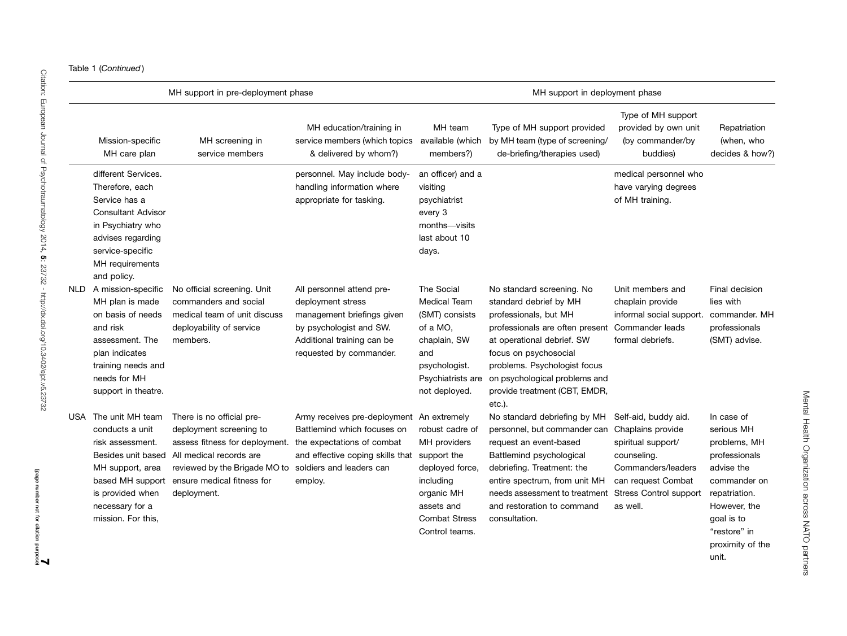| Table 1 (Continued) |
|---------------------|
|---------------------|

|      |                                                                                                                                                                                      | MH support in pre-deployment phase                                                                                                                                                                               |                                                                                                                                                                                               |                                                                                                                                               | MH support in deployment phase                                                                                                                                                                                                                                                     |                                                                                                                                                                         |                                                                                                                                                                                     |
|------|--------------------------------------------------------------------------------------------------------------------------------------------------------------------------------------|------------------------------------------------------------------------------------------------------------------------------------------------------------------------------------------------------------------|-----------------------------------------------------------------------------------------------------------------------------------------------------------------------------------------------|-----------------------------------------------------------------------------------------------------------------------------------------------|------------------------------------------------------------------------------------------------------------------------------------------------------------------------------------------------------------------------------------------------------------------------------------|-------------------------------------------------------------------------------------------------------------------------------------------------------------------------|-------------------------------------------------------------------------------------------------------------------------------------------------------------------------------------|
|      | Mission-specific<br>MH care plan                                                                                                                                                     | MH screening in<br>service members                                                                                                                                                                               | MH education/training in<br>service members (which topics available (which<br>& delivered by whom?)                                                                                           | MH team<br>members?)                                                                                                                          | Type of MH support provided<br>by MH team (type of screening/<br>de-briefing/therapies used)                                                                                                                                                                                       | Type of MH support<br>provided by own unit<br>(by commander/by<br>buddies)                                                                                              | Repatriation<br>(when, who<br>decides & how?)                                                                                                                                       |
|      | different Services.<br>Therefore, each<br>Service has a<br><b>Consultant Advisor</b><br>in Psychiatry who<br>advises regarding<br>service-specific<br>MH requirements<br>and policy. |                                                                                                                                                                                                                  | personnel. May include body-<br>handling information where<br>appropriate for tasking.                                                                                                        | an officer) and a<br>visiting<br>psychiatrist<br>every 3<br>months—visits<br>last about 10<br>days.                                           |                                                                                                                                                                                                                                                                                    | medical personnel who<br>have varying degrees<br>of MH training.                                                                                                        |                                                                                                                                                                                     |
| NLD. | A mission-specific<br>MH plan is made<br>on basis of needs<br>and risk<br>assessment. The<br>plan indicates<br>training needs and<br>needs for MH<br>support in theatre.             | No official screening. Unit<br>commanders and social<br>medical team of unit discuss<br>deployability of service<br>members.                                                                                     | All personnel attend pre-<br>deployment stress<br>management briefings given<br>by psychologist and SW.<br>Additional training can be<br>requested by commander.                              | The Social<br><b>Medical Team</b><br>(SMT) consists<br>of a MO,<br>chaplain, SW<br>and<br>psychologist.<br>Psychiatrists are<br>not deployed. | No standard screening. No<br>standard debrief by MH<br>professionals, but MH<br>professionals are often present<br>at operational debrief. SW<br>focus on psychosocial<br>problems. Psychologist focus<br>on psychological problems and<br>provide treatment (CBT, EMDR,<br>etc.). | Unit members and<br>chaplain provide<br>informal social support.<br>Commander leads<br>formal debriefs.                                                                 | Final decision<br>lies with<br>commander. MH<br>professionals<br>(SMT) advise.                                                                                                      |
|      | USA The unit MH team<br>conducts a unit<br>risk assessment.<br>Besides unit based<br>MH support, area<br>is provided when<br>necessary for a<br>mission. For this,                   | There is no official pre-<br>deployment screening to<br>assess fitness for deployment.<br>All medical records are<br>reviewed by the Brigade MO to<br>based MH support ensure medical fitness for<br>deployment. | Army receives pre-deployment An extremely<br>Battlemind which focuses on<br>the expectations of combat<br>and effective coping skills that support the<br>soldiers and leaders can<br>employ. | robust cadre of<br>MH providers<br>deployed force,<br>including<br>organic MH<br>assets and<br><b>Combat Stress</b><br>Control teams.         | No standard debriefing by MH<br>personnel, but commander can<br>request an event-based<br>Battlemind psychological<br>debriefing. Treatment: the<br>entire spectrum, from unit MH<br>needs assessment to treatment<br>and restoration to command<br>consultation.                  | Self-aid, buddy aid.<br>Chaplains provide<br>spiritual support/<br>counseling.<br>Commanders/leaders<br>can request Combat<br><b>Stress Control support</b><br>as well. | In case of<br>serious MH<br>problems, MH<br>professionals<br>advise the<br>commander on<br>repatriation.<br>However, the<br>goal is to<br>"restore" in<br>proximity of the<br>unit. |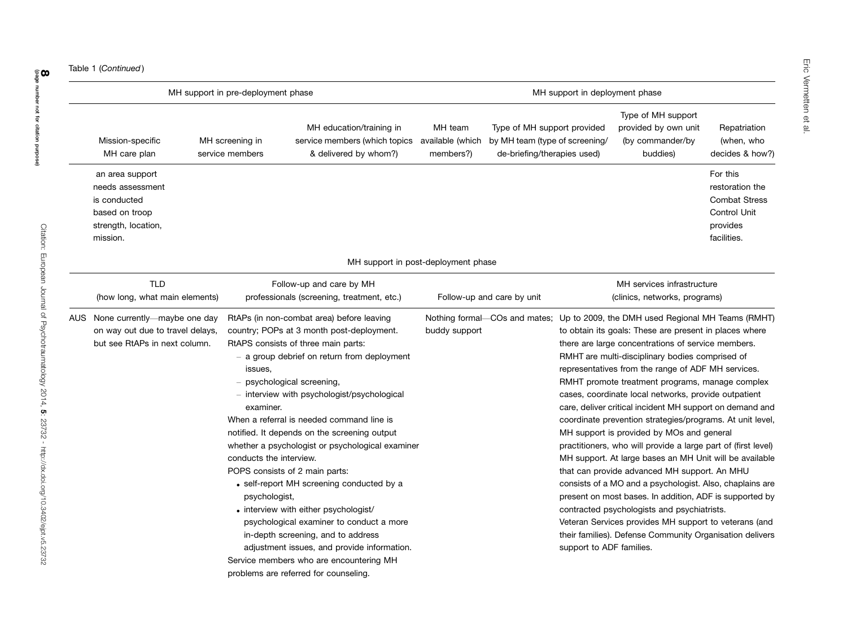|                                                                                                          | MH support in pre-deployment phase                               |                                                                                                                                                                                                                                                                                                                                                                                                                                                                                                                                                                                                                                                                                                                                                         |                                          |                                                                                              | MH support in deployment phase |                                                                                                                                                                                                                                                                                                                                                                                                                                                                                                                                                                                                                                                                                                                                                                                                                                                                                                                                                                                                                                                                  |                                                                                                |
|----------------------------------------------------------------------------------------------------------|------------------------------------------------------------------|---------------------------------------------------------------------------------------------------------------------------------------------------------------------------------------------------------------------------------------------------------------------------------------------------------------------------------------------------------------------------------------------------------------------------------------------------------------------------------------------------------------------------------------------------------------------------------------------------------------------------------------------------------------------------------------------------------------------------------------------------------|------------------------------------------|----------------------------------------------------------------------------------------------|--------------------------------|------------------------------------------------------------------------------------------------------------------------------------------------------------------------------------------------------------------------------------------------------------------------------------------------------------------------------------------------------------------------------------------------------------------------------------------------------------------------------------------------------------------------------------------------------------------------------------------------------------------------------------------------------------------------------------------------------------------------------------------------------------------------------------------------------------------------------------------------------------------------------------------------------------------------------------------------------------------------------------------------------------------------------------------------------------------|------------------------------------------------------------------------------------------------|
| Mission-specific<br>MH care plan                                                                         | MH screening in<br>service members                               | MH education/training in<br>service members (which topics<br>& delivered by whom?)                                                                                                                                                                                                                                                                                                                                                                                                                                                                                                                                                                                                                                                                      | MH team<br>available (which<br>members?) | Type of MH support provided<br>by MH team (type of screening/<br>de-briefing/therapies used) |                                | Type of MH support<br>provided by own unit<br>(by commander/by<br>buddies)                                                                                                                                                                                                                                                                                                                                                                                                                                                                                                                                                                                                                                                                                                                                                                                                                                                                                                                                                                                       | Repatriation<br>(when, who<br>decides & how?)                                                  |
| an area support<br>needs assessment<br>is conducted<br>based on troop<br>strength, location,<br>mission. |                                                                  |                                                                                                                                                                                                                                                                                                                                                                                                                                                                                                                                                                                                                                                                                                                                                         |                                          |                                                                                              |                                |                                                                                                                                                                                                                                                                                                                                                                                                                                                                                                                                                                                                                                                                                                                                                                                                                                                                                                                                                                                                                                                                  | For this<br>restoration the<br><b>Combat Stress</b><br>Control Unit<br>provides<br>facilities. |
|                                                                                                          |                                                                  | MH support in post-deployment phase                                                                                                                                                                                                                                                                                                                                                                                                                                                                                                                                                                                                                                                                                                                     |                                          |                                                                                              |                                |                                                                                                                                                                                                                                                                                                                                                                                                                                                                                                                                                                                                                                                                                                                                                                                                                                                                                                                                                                                                                                                                  |                                                                                                |
| <b>TLD</b><br>(how long, what main elements)                                                             |                                                                  | Follow-up and care by MH<br>professionals (screening, treatment, etc.)                                                                                                                                                                                                                                                                                                                                                                                                                                                                                                                                                                                                                                                                                  |                                          | Follow-up and care by unit                                                                   |                                | MH services infrastructure<br>(clinics, networks, programs)                                                                                                                                                                                                                                                                                                                                                                                                                                                                                                                                                                                                                                                                                                                                                                                                                                                                                                                                                                                                      |                                                                                                |
| AUS None currently—maybe one day<br>on way out due to travel delays,<br>but see RtAPs in next column.    | issues.<br>examiner.<br>conducts the interview.<br>psychologist, | RtAPs (in non-combat area) before leaving<br>country; POPs at 3 month post-deployment.<br>RtAPS consists of three main parts:<br>- a group debrief on return from deployment<br>- psychological screening,<br>- interview with psychologist/psychological<br>When a referral is needed command line is<br>notified. It depends on the screening output<br>whether a psychologist or psychological examiner<br>POPS consists of 2 main parts:<br>• self-report MH screening conducted by a<br>• interview with either psychologist/<br>psychological examiner to conduct a more<br>in-depth screening, and to address<br>adjustment issues, and provide information.<br>Service members who are encountering MH<br>problems are referred for counseling. | buddy support                            |                                                                                              | support to ADF families.       | Nothing formal-COs and mates; Up to 2009, the DMH used Regional MH Teams (RMHT)<br>to obtain its goals: These are present in places where<br>there are large concentrations of service members.<br>RMHT are multi-disciplinary bodies comprised of<br>representatives from the range of ADF MH services.<br>RMHT promote treatment programs, manage complex<br>cases, coordinate local networks, provide outpatient<br>care, deliver critical incident MH support on demand and<br>coordinate prevention strategies/programs. At unit level,<br>MH support is provided by MOs and general<br>practitioners, who will provide a large part of (first level)<br>MH support. At large bases an MH Unit will be available<br>that can provide advanced MH support. An MHU<br>consists of a MO and a psychologist. Also, chaplains are<br>present on most bases. In addition, ADF is supported by<br>contracted psychologists and psychiatrists.<br>Veteran Services provides MH support to veterans (and<br>their families). Defense Community Organisation delivers |                                                                                                |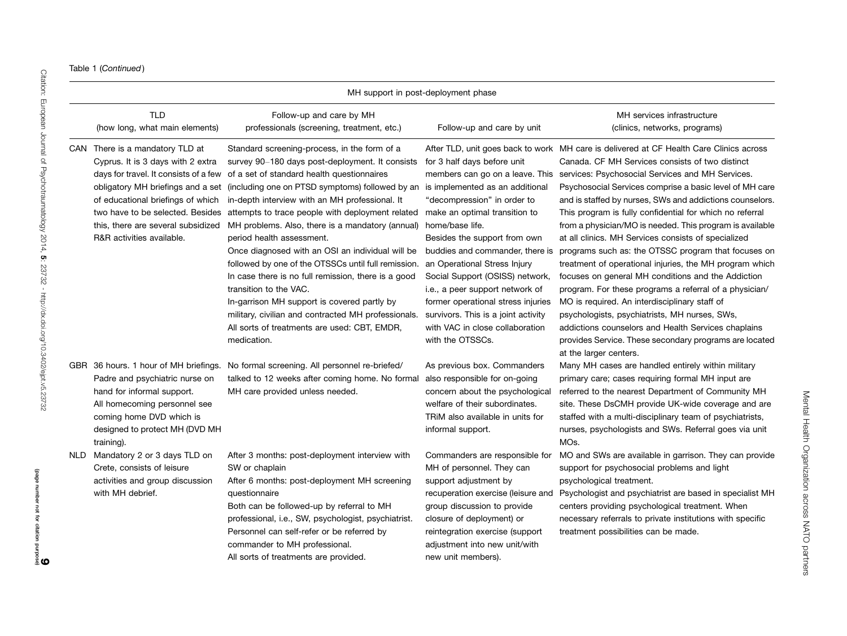Table 1 (Continued )

|      |                                                                                                                                                                                                                                                            |                                                                                                                                                                                                                                                                                                                                                                                                                                                                                                                                                                                                                                                                                                                                                                                           | MH support in post-deployment phase                                                                                                                                                                                                                                                                                                                                                                                                                            |                                                                                                                                                                                                                                                                                                                                                                                                                                                                                                                                                                                                                                                                                                                                                                                                                                                                                                                                                                                                                     |
|------|------------------------------------------------------------------------------------------------------------------------------------------------------------------------------------------------------------------------------------------------------------|-------------------------------------------------------------------------------------------------------------------------------------------------------------------------------------------------------------------------------------------------------------------------------------------------------------------------------------------------------------------------------------------------------------------------------------------------------------------------------------------------------------------------------------------------------------------------------------------------------------------------------------------------------------------------------------------------------------------------------------------------------------------------------------------|----------------------------------------------------------------------------------------------------------------------------------------------------------------------------------------------------------------------------------------------------------------------------------------------------------------------------------------------------------------------------------------------------------------------------------------------------------------|---------------------------------------------------------------------------------------------------------------------------------------------------------------------------------------------------------------------------------------------------------------------------------------------------------------------------------------------------------------------------------------------------------------------------------------------------------------------------------------------------------------------------------------------------------------------------------------------------------------------------------------------------------------------------------------------------------------------------------------------------------------------------------------------------------------------------------------------------------------------------------------------------------------------------------------------------------------------------------------------------------------------|
|      | <b>TLD</b><br>(how long, what main elements)                                                                                                                                                                                                               | Follow-up and care by MH<br>professionals (screening, treatment, etc.)                                                                                                                                                                                                                                                                                                                                                                                                                                                                                                                                                                                                                                                                                                                    | Follow-up and care by unit                                                                                                                                                                                                                                                                                                                                                                                                                                     | MH services infrastructure<br>(clinics, networks, programs)                                                                                                                                                                                                                                                                                                                                                                                                                                                                                                                                                                                                                                                                                                                                                                                                                                                                                                                                                         |
|      | CAN There is a mandatory TLD at<br>Cyprus. It is 3 days with 2 extra<br>days for travel. It consists of a few<br>obligatory MH briefings and a set<br>of educational briefings of which<br>this, there are several subsidized<br>R&R activities available. | Standard screening-process, in the form of a<br>survey 90–180 days post-deployment. It consists<br>of a set of standard health questionnaires<br>(including one on PTSD symptoms) followed by an<br>in-depth interview with an MH professional. It<br>two have to be selected. Besides attempts to trace people with deployment related<br>MH problems. Also, there is a mandatory (annual)<br>period health assessment.<br>Once diagnosed with an OSI an individual will be<br>followed by one of the OTSSCs until full remission.<br>In case there is no full remission, there is a good<br>transition to the VAC.<br>In-garrison MH support is covered partly by<br>military, civilian and contracted MH professionals.<br>All sorts of treatments are used: CBT, EMDR,<br>medication. | for 3 half days before unit<br>is implemented as an additional<br>"decompression" in order to<br>make an optimal transition to<br>home/base life.<br>Besides the support from own<br>buddies and commander, there is<br>an Operational Stress Injury<br>Social Support (OSISS) network,<br>i.e., a peer support network of<br>former operational stress injuries<br>survivors. This is a joint activity<br>with VAC in close collaboration<br>with the OTSSCs. | After TLD, unit goes back to work MH care is delivered at CF Health Care Clinics across<br>Canada, CF MH Services consists of two distinct<br>members can go on a leave. This services: Psychosocial Services and MH Services.<br>Psychosocial Services comprise a basic level of MH care<br>and is staffed by nurses, SWs and addictions counselors.<br>This program is fully confidential for which no referral<br>from a physician/MO is needed. This program is available<br>at all clinics. MH Services consists of specialized<br>programs such as: the OTSSC program that focuses on<br>treatment of operational injuries, the MH program which<br>focuses on general MH conditions and the Addiction<br>program. For these programs a referral of a physician/<br>MO is required. An interdisciplinary staff of<br>psychologists, psychiatrists, MH nurses, SWs,<br>addictions counselors and Health Services chaplains<br>provides Service. These secondary programs are located<br>at the larger centers. |
|      | GBR 36 hours. 1 hour of MH briefings.<br>Padre and psychiatric nurse on<br>hand for informal support.<br>All homecoming personnel see<br>coming home DVD which is<br>designed to protect MH (DVD MH)<br>training).                                         | No formal screening. All personnel re-briefed/<br>talked to 12 weeks after coming home. No formal<br>MH care provided unless needed.                                                                                                                                                                                                                                                                                                                                                                                                                                                                                                                                                                                                                                                      | As previous box. Commanders<br>also responsible for on-going<br>concern about the psychological<br>welfare of their subordinates.<br>TRIM also available in units for<br>informal support.                                                                                                                                                                                                                                                                     | Many MH cases are handled entirely within military<br>primary care; cases requiring formal MH input are<br>referred to the nearest Department of Community MH<br>site. These DsCMH provide UK-wide coverage and are<br>staffed with a multi-disciplinary team of psychiatrists,<br>nurses, psychologists and SWs. Referral goes via unit<br>MOs.                                                                                                                                                                                                                                                                                                                                                                                                                                                                                                                                                                                                                                                                    |
| NLD. | Mandatory 2 or 3 days TLD on<br>Crete, consists of leisure<br>activities and group discussion<br>with MH debrief.                                                                                                                                          | After 3 months: post-deployment interview with<br>SW or chaplain<br>After 6 months: post-deployment MH screening<br>questionnaire<br>Both can be followed-up by referral to MH<br>professional, i.e., SW, psychologist, psychiatrist.<br>Personnel can self-refer or be referred by<br>commander to MH professional.<br>All sorts of treatments are provided.                                                                                                                                                                                                                                                                                                                                                                                                                             | Commanders are responsible for<br>MH of personnel. They can<br>support adjustment by<br>recuperation exercise (leisure and<br>group discussion to provide<br>closure of deployment) or<br>reintegration exercise (support<br>adjustment into new unit/with<br>new unit members).                                                                                                                                                                               | MO and SWs are available in garrison. They can provide<br>support for psychosocial problems and light<br>psychological treatment.<br>Psychologist and psychiatrist are based in specialist MH<br>centers providing psychological treatment. When<br>necessary referrals to private institutions with specific<br>treatment possibilities can be made.                                                                                                                                                                                                                                                                                                                                                                                                                                                                                                                                                                                                                                                               |

Mental Health Organization across NATO partners Mental Health Organization across NATO partners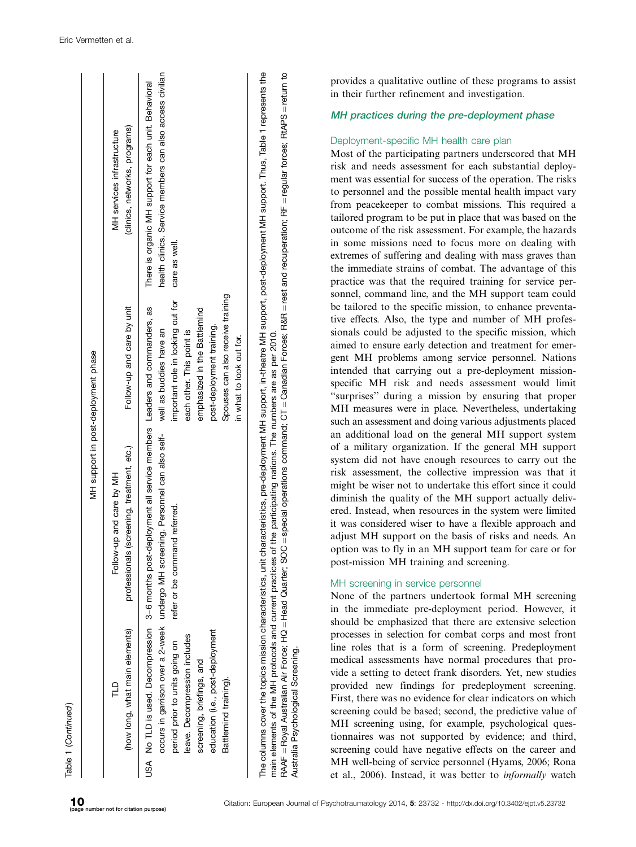|                                                                                                                                                           |                                                                                                                                                                                                                                 | MH support in post-deployment phase                                                                                                                                                                                     |                                                                                                                                                                                                                                                                                                                 |
|-----------------------------------------------------------------------------------------------------------------------------------------------------------|---------------------------------------------------------------------------------------------------------------------------------------------------------------------------------------------------------------------------------|-------------------------------------------------------------------------------------------------------------------------------------------------------------------------------------------------------------------------|-----------------------------------------------------------------------------------------------------------------------------------------------------------------------------------------------------------------------------------------------------------------------------------------------------------------|
| (how long, what main elements)<br>Г                                                                                                                       | professionals (screening, treatment, etc.)<br>Follow-up and care by MH                                                                                                                                                          | Follow-up and care by unit                                                                                                                                                                                              | (clinics, networks, programs)<br>MH services infrastructure                                                                                                                                                                                                                                                     |
| education (i.e., post-deployment<br>leave. Decompression includes<br>period prior to units going on<br>screening, briefings, and<br>Battlemind training). | USA No TLD is used. Decompression 3-6 months post-deployment all service members Leaders and commanders, as<br>occurs in garrison over a 2-week undergo MH screening. Personnel can also self-<br>refer or be command referred. | Spouses can also receive training<br>important role in looking out for<br>emphasized in the Battlemind<br>post-deployment training.<br>well as buddies have an<br>each other. This point is<br>in what to look out for. | health clinics. Service members can also access civilian<br>There is organic MH support for each unit. Behavioral<br>care as well.                                                                                                                                                                              |
| RAAF = Royal Australian Air Force; HQ = Head Quarter; SOC<br>Australia Psychological Screening.                                                           | main elements of the MH protocols and current practices of the participating nations. The numbers are as per 2010.                                                                                                              |                                                                                                                                                                                                                         | special operations command; CT = Canadian Forces; R&R = rest and recuperation; RF = regular forces; RtAPS = return to<br>The columns cover the topics mission characteristics, unit characteristics, pre-deployment MH support, in-theatre MH support, post-deployment MH support. Thus, Table 1 represents the |

provides a qualitative outline of these programs to assist in their further refinement and investigation.

#### MH practices during the pre-deployment phase

#### Deployment-specific MH health care plan

Most of the participating partners underscored that MH risk and needs assessment for each substantial deployment was essential for success of the operation. The risks to personnel and the possible mental health impact vary from peacekeeper to combat missions. This required a tailored program to be put in place that was based on the outcome of the risk assessment. For example, the hazards in some missions need to focus more on dealing with extremes of suffering and dealing with mass graves than the immediate strains of combat. The advantage of this practice was that the required training for service personnel, command line, and the MH support team could be tailored to the specific mission, to enhance preventative effects. Also, the type and number of MH professionals could be adjusted to the specific mission, which aimed to ensure early detection and treatment for emergent MH problems among service personnel. Nations intended that carrying out a pre-deployment missionspecific MH risk and needs assessment would limit ''surprises'' during a mission by ensuring that proper MH measures were in place. Nevertheless, undertaking such an assessment and doing various adjustments placed an additional load on the general MH support system of a military organization. If the general MH support system did not have enough resources to carry out the risk assessment, the collective impression was that it might be wiser not to undertake this effort since it could diminish the quality of the MH support actually delivered. Instead, when resources in the system were limited it was considered wiser to have a flexible approach and adjust MH support on the basis of risks and needs. An option was to fly in an MH support team for care or for post-mission MH training and screening.

## MH screening in service personnel

None of the partners undertook formal MH screening in the immediate pre-deployment period. However, it should be emphasized that there are extensive selection processes in selection for combat corps and most front line roles that is a form of screening. Predeployment medical assessments have normal procedures that provide a setting to detect frank disorders. Yet, new studies provided new findings for predeployment screening. First, there was no evidence for clear indicators on which screening could be based; second, the predictive value of MH screening using, for example, psychological questionnaires was not supported by evidence; and third, screening could have negative effects on the career and MH well-being of service personnel (Hyams, 2006; Rona et al., 2006). Instead, it was better to informally watch

Table 1 (Continued)

Continued )

Australia Psychological Screening.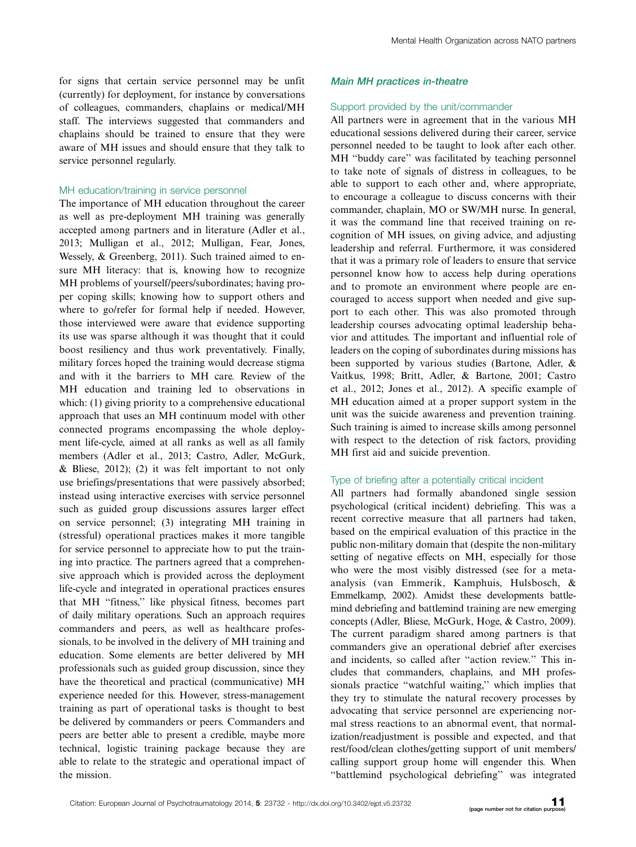for signs that certain service personnel may be unfit (currently) for deployment, for instance by conversations of colleagues, commanders, chaplains or medical/MH staff. The interviews suggested that commanders and chaplains should be trained to ensure that they were aware of MH issues and should ensure that they talk to service personnel regularly.

#### MH education/training in service personnel

The importance of MH education throughout the career as well as pre-deployment MH training was generally accepted among partners and in literature (Adler et al., 2013; Mulligan et al., 2012; Mulligan, Fear, Jones, Wessely, & Greenberg, 2011). Such trained aimed to ensure MH literacy: that is, knowing how to recognize MH problems of yourself/peers/subordinates; having proper coping skills; knowing how to support others and where to go/refer for formal help if needed. However, those interviewed were aware that evidence supporting its use was sparse although it was thought that it could boost resiliency and thus work preventatively. Finally, military forces hoped the training would decrease stigma and with it the barriers to MH care. Review of the MH education and training led to observations in which: (1) giving priority to a comprehensive educational approach that uses an MH continuum model with other connected programs encompassing the whole deployment life-cycle, aimed at all ranks as well as all family members (Adler et al., 2013; Castro, Adler, McGurk, & Bliese, 2012); (2) it was felt important to not only use briefings/presentations that were passively absorbed; instead using interactive exercises with service personnel such as guided group discussions assures larger effect on service personnel; (3) integrating MH training in (stressful) operational practices makes it more tangible for service personnel to appreciate how to put the training into practice. The partners agreed that a comprehensive approach which is provided across the deployment life-cycle and integrated in operational practices ensures that MH ''fitness,'' like physical fitness, becomes part of daily military operations. Such an approach requires commanders and peers, as well as healthcare professionals, to be involved in the delivery of MH training and education. Some elements are better delivered by MH professionals such as guided group discussion, since they have the theoretical and practical (communicative) MH experience needed for this. However, stress-management training as part of operational tasks is thought to best be delivered by commanders or peers. Commanders and peers are better able to present a credible, maybe more technical, logistic training package because they are able to relate to the strategic and operational impact of the mission.

#### Main MH practices in-theatre

#### Support provided by the unit/commander

All partners were in agreement that in the various MH educational sessions delivered during their career, service personnel needed to be taught to look after each other. MH ''buddy care'' was facilitated by teaching personnel to take note of signals of distress in colleagues, to be able to support to each other and, where appropriate, to encourage a colleague to discuss concerns with their commander, chaplain, MO or SW/MH nurse. In general, it was the command line that received training on recognition of MH issues, on giving advice, and adjusting leadership and referral. Furthermore, it was considered that it was a primary role of leaders to ensure that service personnel know how to access help during operations and to promote an environment where people are encouraged to access support when needed and give support to each other. This was also promoted through leadership courses advocating optimal leadership behavior and attitudes. The important and influential role of leaders on the coping of subordinates during missions has been supported by various studies (Bartone, Adler, & Vaitkus, 1998; Britt, Adler, & Bartone, 2001; Castro et al., 2012; Jones et al., 2012). A specific example of MH education aimed at a proper support system in the unit was the suicide awareness and prevention training. Such training is aimed to increase skills among personnel with respect to the detection of risk factors, providing MH first aid and suicide prevention.

## Type of briefing after a potentially critical incident

All partners had formally abandoned single session psychological (critical incident) debriefing. This was a recent corrective measure that all partners had taken, based on the empirical evaluation of this practice in the public non-military domain that (despite the non-military setting of negative effects on MH, especially for those who were the most visibly distressed (see for a metaanalysis (van Emmerik, Kamphuis, Hulsbosch, & Emmelkamp, 2002). Amidst these developments battlemind debriefing and battlemind training are new emerging concepts (Adler, Bliese, McGurk, Hoge, & Castro, 2009). The current paradigm shared among partners is that commanders give an operational debrief after exercises and incidents, so called after ''action review.'' This includes that commanders, chaplains, and MH professionals practice ''watchful waiting,'' which implies that they try to stimulate the natural recovery processes by advocating that service personnel are experiencing normal stress reactions to an abnormal event, that normalization/readjustment is possible and expected, and that rest/food/clean clothes/getting support of unit members/ calling support group home will engender this. When ''battlemind psychological debriefing'' was integrated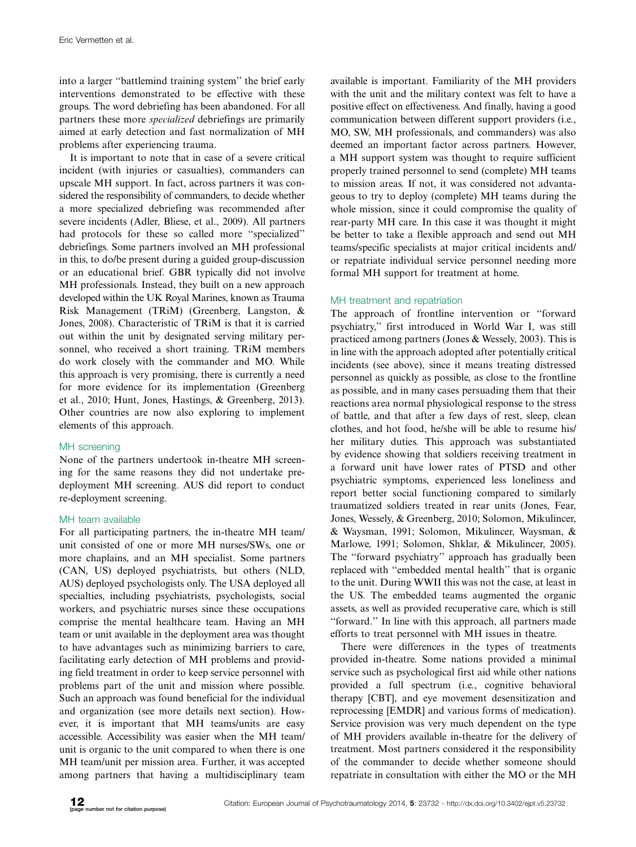into a larger ''battlemind training system'' the brief early interventions demonstrated to be effective with these groups. The word debriefing has been abandoned. For all partners these more specialized debriefings are primarily aimed at early detection and fast normalization of MH problems after experiencing trauma.

It is important to note that in case of a severe critical incident (with injuries or casualties), commanders can upscale MH support. In fact, across partners it was considered the responsibility of commanders, to decide whether a more specialized debriefing was recommended after severe incidents (Adler, Bliese, et al., 2009). All partners had protocols for these so called more ''specialized'' debriefings. Some partners involved an MH professional in this, to do/be present during a guided group-discussion or an educational brief. GBR typically did not involve MH professionals. Instead, they built on a new approach developed within the UK Royal Marines, known as Trauma Risk Management (TRiM) (Greenberg, Langston, & Jones, 2008). Characteristic of TRiM is that it is carried out within the unit by designated serving military personnel, who received a short training. TRiM members do work closely with the commander and MO. While this approach is very promising, there is currently a need for more evidence for its implementation (Greenberg et al., 2010; Hunt, Jones, Hastings, & Greenberg, 2013). Other countries are now also exploring to implement elements of this approach.

## MH screening

None of the partners undertook in-theatre MH screening for the same reasons they did not undertake predeployment MH screening. AUS did report to conduct re-deployment screening.

#### MH team available

For all participating partners, the in-theatre MH team/ unit consisted of one or more MH nurses/SWs, one or more chaplains, and an MH specialist. Some partners (CAN, US) deployed psychiatrists, but others (NLD, AUS) deployed psychologists only. The USA deployed all specialties, including psychiatrists, psychologists, social workers, and psychiatric nurses since these occupations comprise the mental healthcare team. Having an MH team or unit available in the deployment area was thought to have advantages such as minimizing barriers to care, facilitating early detection of MH problems and providing field treatment in order to keep service personnel with problems part of the unit and mission where possible. Such an approach was found beneficial for the individual and organization (see more details next section). However, it is important that MH teams/units are easy accessible. Accessibility was easier when the MH team/ unit is organic to the unit compared to when there is one MH team/unit per mission area. Further, it was accepted among partners that having a multidisciplinary team

available is important. Familiarity of the MH providers with the unit and the military context was felt to have a positive effect on effectiveness. And finally, having a good communication between different support providers (i.e., MO, SW, MH professionals, and commanders) was also deemed an important factor across partners. However, a MH support system was thought to require sufficient properly trained personnel to send (complete) MH teams to mission areas. If not, it was considered not advantageous to try to deploy (complete) MH teams during the whole mission, since it could compromise the quality of rear-party MH care. In this case it was thought it might be better to take a flexible approach and send out MH teams/specific specialists at major critical incidents and/ or repatriate individual service personnel needing more formal MH support for treatment at home.

## MH treatment and repatriation

The approach of frontline intervention or ''forward psychiatry,'' first introduced in World War I, was still practiced among partners (Jones & Wessely, 2003). This is in line with the approach adopted after potentially critical incidents (see above), since it means treating distressed personnel as quickly as possible, as close to the frontline as possible, and in many cases persuading them that their reactions area normal physiological response to the stress of battle, and that after a few days of rest, sleep, clean clothes, and hot food, he/she will be able to resume his/ her military duties. This approach was substantiated by evidence showing that soldiers receiving treatment in a forward unit have lower rates of PTSD and other psychiatric symptoms, experienced less loneliness and report better social functioning compared to similarly traumatized soldiers treated in rear units (Jones, Fear, Jones, Wessely, & Greenberg, 2010; Solomon, Mikulincer, & Waysman, 1991; Solomon, Mikulincer, Waysman, & Marlowe, 1991; Solomon, Shklar, & Mikulincer, 2005). The ''forward psychiatry'' approach has gradually been replaced with ''embedded mental health'' that is organic to the unit. During WWII this was not the case, at least in the US. The embedded teams augmented the organic assets, as well as provided recuperative care, which is still ''forward.'' In line with this approach, all partners made efforts to treat personnel with MH issues in theatre.

There were differences in the types of treatments provided in-theatre. Some nations provided a minimal service such as psychological first aid while other nations provided a full spectrum (i.e., cognitive behavioral therapy [CBT], and eye movement desensitization and reprocessing [EMDR] and various forms of medication). Service provision was very much dependent on the type of MH providers available in-theatre for the delivery of treatment. Most partners considered it the responsibility of the commander to decide whether someone should repatriate in consultation with either the MO or the MH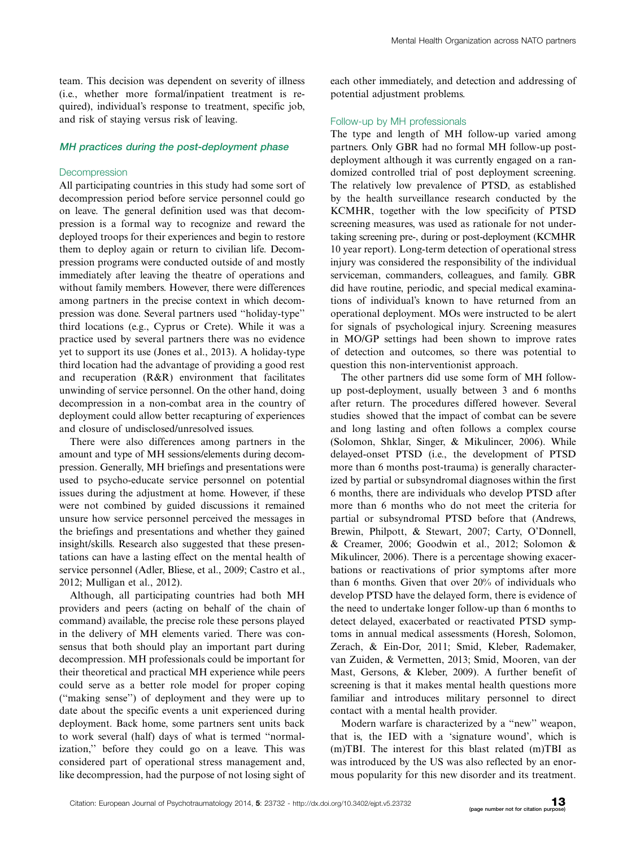team. This decision was dependent on severity of illness (i.e., whether more formal/inpatient treatment is required), individual's response to treatment, specific job, and risk of staying versus risk of leaving.

#### MH practices during the post-deployment phase

#### Decompression

All participating countries in this study had some sort of decompression period before service personnel could go on leave. The general definition used was that decompression is a formal way to recognize and reward the deployed troops for their experiences and begin to restore them to deploy again or return to civilian life. Decompression programs were conducted outside of and mostly immediately after leaving the theatre of operations and without family members. However, there were differences among partners in the precise context in which decompression was done. Several partners used ''holiday-type'' third locations (e.g., Cyprus or Crete). While it was a practice used by several partners there was no evidence yet to support its use (Jones et al., 2013). A holiday-type third location had the advantage of providing a good rest and recuperation (R&R) environment that facilitates unwinding of service personnel. On the other hand, doing decompression in a non-combat area in the country of deployment could allow better recapturing of experiences and closure of undisclosed/unresolved issues.

There were also differences among partners in the amount and type of MH sessions/elements during decompression. Generally, MH briefings and presentations were used to psycho-educate service personnel on potential issues during the adjustment at home. However, if these were not combined by guided discussions it remained unsure how service personnel perceived the messages in the briefings and presentations and whether they gained insight/skills. Research also suggested that these presentations can have a lasting effect on the mental health of service personnel (Adler, Bliese, et al., 2009; Castro et al., 2012; Mulligan et al., 2012).

Although, all participating countries had both MH providers and peers (acting on behalf of the chain of command) available, the precise role these persons played in the delivery of MH elements varied. There was consensus that both should play an important part during decompression. MH professionals could be important for their theoretical and practical MH experience while peers could serve as a better role model for proper coping (''making sense'') of deployment and they were up to date about the specific events a unit experienced during deployment. Back home, some partners sent units back to work several (half) days of what is termed ''normalization,'' before they could go on a leave. This was considered part of operational stress management and, like decompression, had the purpose of not losing sight of each other immediately, and detection and addressing of potential adjustment problems.

#### Follow-up by MH professionals

The type and length of MH follow-up varied among partners. Only GBR had no formal MH follow-up postdeployment although it was currently engaged on a randomized controlled trial of post deployment screening. The relatively low prevalence of PTSD, as established by the health surveillance research conducted by the KCMHR, together with the low specificity of PTSD screening measures, was used as rationale for not undertaking screening pre-, during or post-deployment (KCMHR 10 year report). Long-term detection of operational stress injury was considered the responsibility of the individual serviceman, commanders, colleagues, and family. GBR did have routine, periodic, and special medical examinations of individual's known to have returned from an operational deployment. MOs were instructed to be alert for signals of psychological injury. Screening measures in MO/GP settings had been shown to improve rates of detection and outcomes, so there was potential to question this non-interventionist approach.

The other partners did use some form of MH followup post-deployment, usually between 3 and 6 months after return. The procedures differed however. Several studies showed that the impact of combat can be severe and long lasting and often follows a complex course (Solomon, Shklar, Singer, & Mikulincer, 2006). While delayed-onset PTSD (i.e., the development of PTSD more than 6 months post-trauma) is generally characterized by partial or subsyndromal diagnoses within the first 6 months, there are individuals who develop PTSD after more than 6 months who do not meet the criteria for partial or subsyndromal PTSD before that (Andrews, Brewin, Philpott, & Stewart, 2007; Carty, O'Donnell, & Creamer, 2006; Goodwin et al., 2012; Solomon & Mikulincer, 2006). There is a percentage showing exacerbations or reactivations of prior symptoms after more than 6 months. Given that over 20% of individuals who develop PTSD have the delayed form, there is evidence of the need to undertake longer follow-up than 6 months to detect delayed, exacerbated or reactivated PTSD symptoms in annual medical assessments (Horesh, Solomon, Zerach, & Ein-Dor, 2011; Smid, Kleber, Rademaker, van Zuiden, & Vermetten, 2013; Smid, Mooren, van der Mast, Gersons, & Kleber, 2009). A further benefit of screening is that it makes mental health questions more familiar and introduces military personnel to direct contact with a mental health provider.

Modern warfare is characterized by a ''new'' weapon, that is, the IED with a 'signature wound', which is (m)TBI. The interest for this blast related (m)TBI as was introduced by the US was also reflected by an enormous popularity for this new disorder and its treatment.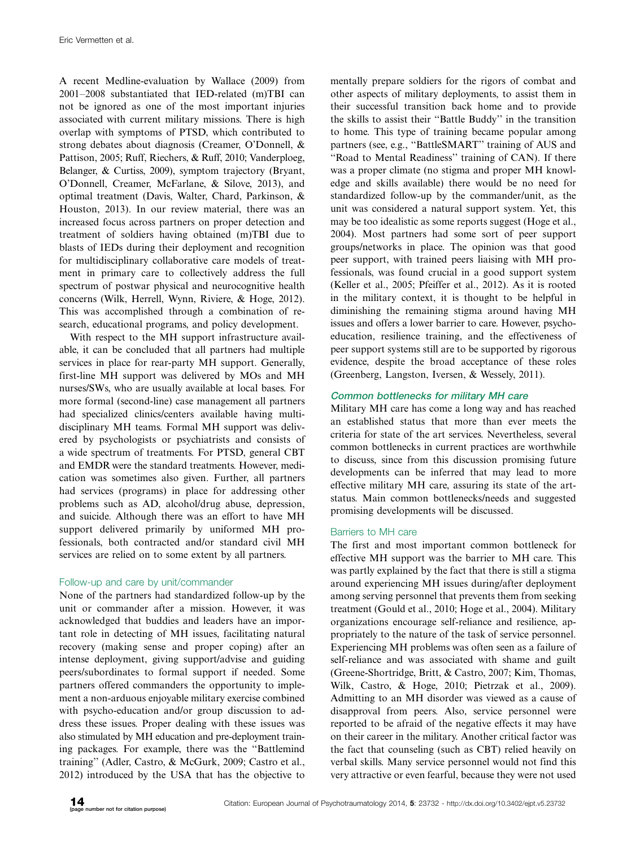A recent Medline-evaluation by Wallace (2009) from 2001-2008 substantiated that IED-related (m)TBI can not be ignored as one of the most important injuries associated with current military missions. There is high overlap with symptoms of PTSD, which contributed to strong debates about diagnosis (Creamer, O'Donnell, & Pattison, 2005; Ruff, Riechers, & Ruff, 2010; Vanderploeg, Belanger, & Curtiss, 2009), symptom trajectory (Bryant, O'Donnell, Creamer, McFarlane, & Silove, 2013), and optimal treatment (Davis, Walter, Chard, Parkinson, & Houston, 2013). In our review material, there was an increased focus across partners on proper detection and treatment of soldiers having obtained (m)TBI due to blasts of IEDs during their deployment and recognition for multidisciplinary collaborative care models of treatment in primary care to collectively address the full spectrum of postwar physical and neurocognitive health concerns (Wilk, Herrell, Wynn, Riviere, & Hoge, 2012). This was accomplished through a combination of research, educational programs, and policy development.

With respect to the MH support infrastructure available, it can be concluded that all partners had multiple services in place for rear-party MH support. Generally, first-line MH support was delivered by MOs and MH nurses/SWs, who are usually available at local bases. For more formal (second-line) case management all partners had specialized clinics/centers available having multidisciplinary MH teams. Formal MH support was delivered by psychologists or psychiatrists and consists of a wide spectrum of treatments. For PTSD, general CBT and EMDR were the standard treatments. However, medication was sometimes also given. Further, all partners had services (programs) in place for addressing other problems such as AD, alcohol/drug abuse, depression, and suicide. Although there was an effort to have MH support delivered primarily by uniformed MH professionals, both contracted and/or standard civil MH services are relied on to some extent by all partners.

# Follow-up and care by unit/commander

None of the partners had standardized follow-up by the unit or commander after a mission. However, it was acknowledged that buddies and leaders have an important role in detecting of MH issues, facilitating natural recovery (making sense and proper coping) after an intense deployment, giving support/advise and guiding peers/subordinates to formal support if needed. Some partners offered commanders the opportunity to implement a non-arduous enjoyable military exercise combined with psycho-education and/or group discussion to address these issues. Proper dealing with these issues was also stimulated by MH education and pre-deployment training packages. For example, there was the ''Battlemind training'' (Adler, Castro, & McGurk, 2009; Castro et al., 2012) introduced by the USA that has the objective to

mentally prepare soldiers for the rigors of combat and other aspects of military deployments, to assist them in their successful transition back home and to provide the skills to assist their ''Battle Buddy'' in the transition to home. This type of training became popular among partners (see, e.g., ''BattleSMART'' training of AUS and ''Road to Mental Readiness'' training of CAN). If there was a proper climate (no stigma and proper MH knowledge and skills available) there would be no need for standardized follow-up by the commander/unit, as the unit was considered a natural support system. Yet, this may be too idealistic as some reports suggest (Hoge et al., 2004). Most partners had some sort of peer support groups/networks in place. The opinion was that good peer support, with trained peers liaising with MH professionals, was found crucial in a good support system (Keller et al., 2005; Pfeiffer et al., 2012). As it is rooted in the military context, it is thought to be helpful in diminishing the remaining stigma around having MH issues and offers a lower barrier to care. However, psychoeducation, resilience training, and the effectiveness of peer support systems still are to be supported by rigorous evidence, despite the broad acceptance of these roles (Greenberg, Langston, Iversen, & Wessely, 2011).

## Common bottlenecks for military MH care

Military MH care has come a long way and has reached an established status that more than ever meets the criteria for state of the art services. Nevertheless, several common bottlenecks in current practices are worthwhile to discuss, since from this discussion promising future developments can be inferred that may lead to more effective military MH care, assuring its state of the artstatus. Main common bottlenecks/needs and suggested promising developments will be discussed.

# Barriers to MH care

The first and most important common bottleneck for effective MH support was the barrier to MH care. This was partly explained by the fact that there is still a stigma around experiencing MH issues during/after deployment among serving personnel that prevents them from seeking treatment (Gould et al., 2010; Hoge et al., 2004). Military organizations encourage self-reliance and resilience, appropriately to the nature of the task of service personnel. Experiencing MH problems was often seen as a failure of self-reliance and was associated with shame and guilt (Greene-Shortridge, Britt, & Castro, 2007; Kim, Thomas, Wilk, Castro, & Hoge, 2010; Pietrzak et al., 2009). Admitting to an MH disorder was viewed as a cause of disapproval from peers. Also, service personnel were reported to be afraid of the negative effects it may have on their career in the military. Another critical factor was the fact that counseling (such as CBT) relied heavily on verbal skills. Many service personnel would not find this very attractive or even fearful, because they were not used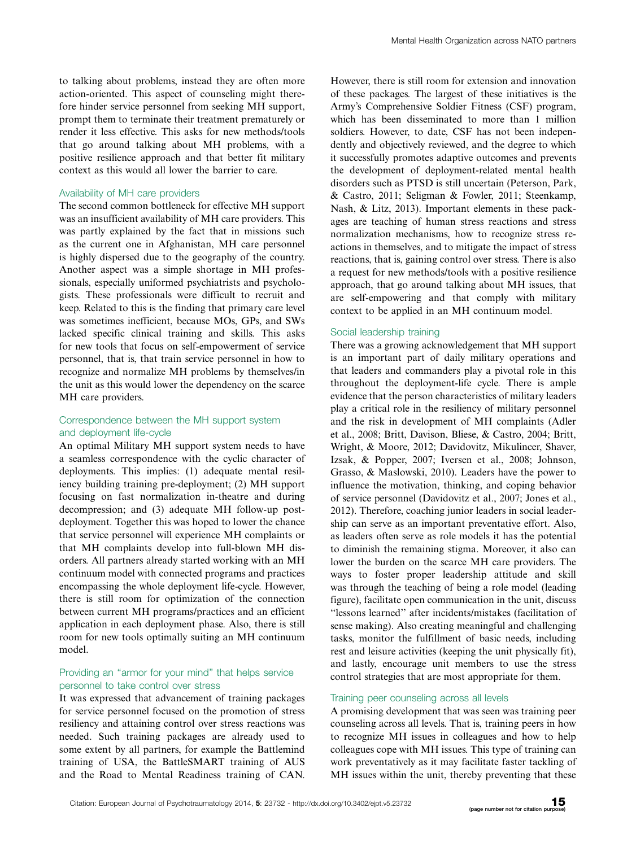to talking about problems, instead they are often more action-oriented. This aspect of counseling might therefore hinder service personnel from seeking MH support, prompt them to terminate their treatment prematurely or render it less effective. This asks for new methods/tools that go around talking about MH problems, with a positive resilience approach and that better fit military context as this would all lower the barrier to care.

#### Availability of MH care providers

The second common bottleneck for effective MH support was an insufficient availability of MH care providers. This was partly explained by the fact that in missions such as the current one in Afghanistan, MH care personnel is highly dispersed due to the geography of the country. Another aspect was a simple shortage in MH professionals, especially uniformed psychiatrists and psychologists. These professionals were difficult to recruit and keep. Related to this is the finding that primary care level was sometimes inefficient, because MOs, GPs, and SWs lacked specific clinical training and skills. This asks for new tools that focus on self-empowerment of service personnel, that is, that train service personnel in how to recognize and normalize MH problems by themselves/in the unit as this would lower the dependency on the scarce MH care providers.

## Correspondence between the MH support system and deployment life-cycle

An optimal Military MH support system needs to have a seamless correspondence with the cyclic character of deployments. This implies: (1) adequate mental resiliency building training pre-deployment; (2) MH support focusing on fast normalization in-theatre and during decompression; and (3) adequate MH follow-up postdeployment. Together this was hoped to lower the chance that service personnel will experience MH complaints or that MH complaints develop into full-blown MH disorders. All partners already started working with an MH continuum model with connected programs and practices encompassing the whole deployment life-cycle. However, there is still room for optimization of the connection between current MH programs/practices and an efficient application in each deployment phase. Also, there is still room for new tools optimally suiting an MH continuum model.

## Providing an ''armor for your mind'' that helps service personnel to take control over stress

It was expressed that advancement of training packages for service personnel focused on the promotion of stress resiliency and attaining control over stress reactions was needed. Such training packages are already used to some extent by all partners, for example the Battlemind training of USA, the BattleSMART training of AUS and the Road to Mental Readiness training of CAN.

However, there is still room for extension and innovation of these packages. The largest of these initiatives is the Army's Comprehensive Soldier Fitness (CSF) program, which has been disseminated to more than 1 million soldiers. However, to date, CSF has not been independently and objectively reviewed, and the degree to which it successfully promotes adaptive outcomes and prevents the development of deployment-related mental health disorders such as PTSD is still uncertain (Peterson, Park, & Castro, 2011; Seligman & Fowler, 2011; Steenkamp, Nash, & Litz, 2013). Important elements in these packages are teaching of human stress reactions and stress normalization mechanisms, how to recognize stress reactions in themselves, and to mitigate the impact of stress reactions, that is, gaining control over stress. There is also a request for new methods/tools with a positive resilience approach, that go around talking about MH issues, that are self-empowering and that comply with military context to be applied in an MH continuum model.

#### Social leadership training

There was a growing acknowledgement that MH support is an important part of daily military operations and that leaders and commanders play a pivotal role in this throughout the deployment-life cycle. There is ample evidence that the person characteristics of military leaders play a critical role in the resiliency of military personnel and the risk in development of MH complaints (Adler et al., 2008; Britt, Davison, Bliese, & Castro, 2004; Britt, Wright, & Moore, 2012; Davidovitz, Mikulincer, Shaver, Izsak, & Popper, 2007; Iversen et al., 2008; Johnson, Grasso, & Maslowski, 2010). Leaders have the power to influence the motivation, thinking, and coping behavior of service personnel (Davidovitz et al., 2007; Jones et al., 2012). Therefore, coaching junior leaders in social leadership can serve as an important preventative effort. Also, as leaders often serve as role models it has the potential to diminish the remaining stigma. Moreover, it also can lower the burden on the scarce MH care providers. The ways to foster proper leadership attitude and skill was through the teaching of being a role model (leading figure), facilitate open communication in the unit, discuss ''lessons learned'' after incidents/mistakes (facilitation of sense making). Also creating meaningful and challenging tasks, monitor the fulfillment of basic needs, including rest and leisure activities (keeping the unit physically fit), and lastly, encourage unit members to use the stress control strategies that are most appropriate for them.

#### Training peer counseling across all levels

A promising development that was seen was training peer counseling across all levels. That is, training peers in how to recognize MH issues in colleagues and how to help colleagues cope with MH issues. This type of training can work preventatively as it may facilitate faster tackling of MH issues within the unit, thereby preventing that these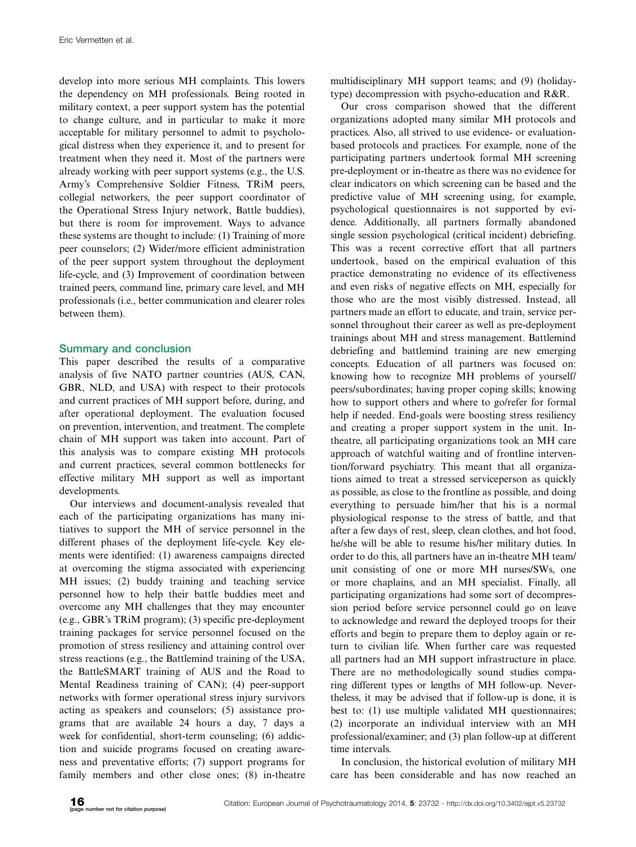develop into more serious MH complaints. This lowers the dependency on MH professionals. Being rooted in military context, a peer support system has the potential to change culture, and in particular to make it more acceptable for military personnel to admit to psychological distress when they experience it, and to present for treatment when they need it. Most of the partners were already working with peer support systems (e.g., the U.S. Army's Comprehensive Soldier Fitness, TRiM peers, collegial networkers, the peer support coordinator of the Operational Stress Injury network, Battle buddies), but there is room for improvement. Ways to advance these systems are thought to include: (1) Training of more peer counselors; (2) Wider/more efficient administration of the peer support system throughout the deployment life-cycle, and (3) Improvement of coordination between trained peers, command line, primary care level, and MH professionals (i.e., better communication and clearer roles between them).

## Summary and conclusion

This paper described the results of a comparative analysis of five NATO partner countries (AUS, CAN, GBR, NLD, and USA) with respect to their protocols and current practices of MH support before, during, and after operational deployment. The evaluation focused on prevention, intervention, and treatment. The complete chain of MH support was taken into account. Part of this analysis was to compare existing MH protocols and current practices, several common bottlenecks for effective military MH support as well as important developments.

Our interviews and document-analysis revealed that each of the participating organizations has many initiatives to support the MH of service personnel in the different phases of the deployment life-cycle. Key elements were identified: (1) awareness campaigns directed at overcoming the stigma associated with experiencing MH issues; (2) buddy training and teaching service personnel how to help their battle buddies meet and overcome any MH challenges that they may encounter (e.g., GBR's TRiM program); (3) specific pre-deployment training packages for service personnel focused on the promotion of stress resiliency and attaining control over stress reactions (e.g., the Battlemind training of the USA, the BattleSMART training of AUS and the Road to Mental Readiness training of CAN); (4) peer-support networks with former operational stress injury survivors acting as speakers and counselors; (5) assistance programs that are available 24 hours a day, 7 days a week for confidential, short-term counseling; (6) addiction and suicide programs focused on creating awareness and preventative efforts; (7) support programs for family members and other close ones; (8) in-theatre

multidisciplinary MH support teams; and (9) (holidaytype) decompression with psycho-education and R&R.

Our cross comparison showed that the different organizations adopted many similar MH protocols and practices. Also, all strived to use evidence- or evaluationbased protocols and practices. For example, none of the participating partners undertook formal MH screening pre-deployment or in-theatre as there was no evidence for clear indicators on which screening can be based and the predictive value of MH screening using, for example, psychological questionnaires is not supported by evidence. Additionally, all partners formally abandoned single session psychological (critical incident) debriefing. This was a recent corrective effort that all partners undertook, based on the empirical evaluation of this practice demonstrating no evidence of its effectiveness and even risks of negative effects on MH, especially for those who are the most visibly distressed. Instead, all partners made an effort to educate, and train, service personnel throughout their career as well as pre-deployment trainings about MH and stress management. Battlemind debriefing and battlemind training are new emerging concepts. Education of all partners was focused on: knowing how to recognize MH problems of yourself/ peers/subordinates; having proper coping skills; knowing how to support others and where to go/refer for formal help if needed. End-goals were boosting stress resiliency and creating a proper support system in the unit. Intheatre, all participating organizations took an MH care approach of watchful waiting and of frontline intervention/forward psychiatry. This meant that all organizations aimed to treat a stressed serviceperson as quickly as possible, as close to the frontline as possible, and doing everything to persuade him/her that his is a normal physiological response to the stress of battle, and that after a few days of rest, sleep, clean clothes, and hot food, he/she will be able to resume his/her military duties. In order to do this, all partners have an in-theatre MH team/ unit consisting of one or more MH nurses/SWs, one or more chaplains, and an MH specialist. Finally, all participating organizations had some sort of decompression period before service personnel could go on leave to acknowledge and reward the deployed troops for their efforts and begin to prepare them to deploy again or return to civilian life. When further care was requested all partners had an MH support infrastructure in place. There are no methodologically sound studies comparing different types or lengths of MH follow-up. Nevertheless, it may be advised that if follow-up is done, it is best to: (1) use multiple validated MH questionnaires; (2) incorporate an individual interview with an MH professional/examiner; and (3) plan follow-up at different time intervals.

In conclusion, the historical evolution of military MH care has been considerable and has now reached an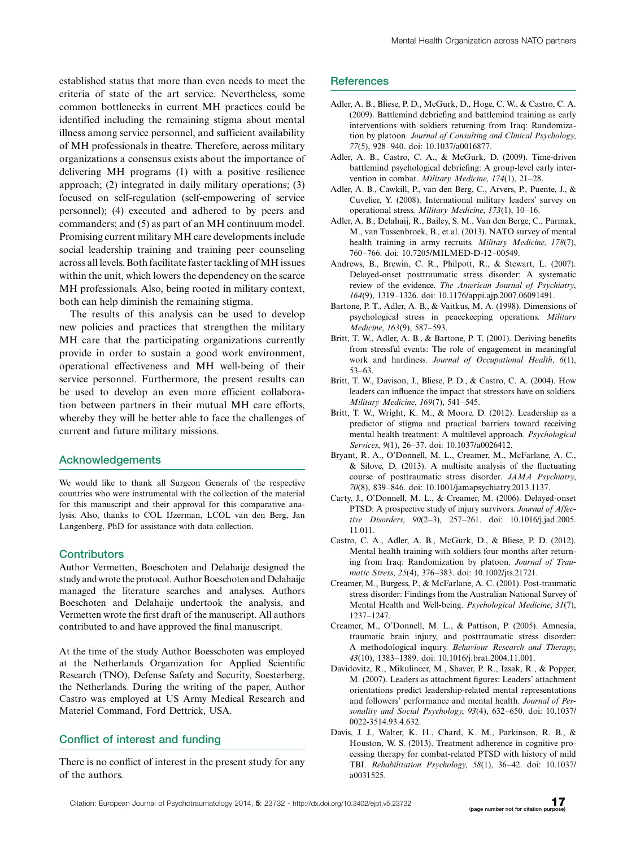established status that more than even needs to meet the criteria of state of the art service. Nevertheless, some common bottlenecks in current MH practices could be identified including the remaining stigma about mental illness among service personnel, and sufficient availability of MH professionals in theatre. Therefore, across military organizations a consensus exists about the importance of delivering MH programs (1) with a positive resilience approach; (2) integrated in daily military operations; (3) focused on self-regulation (self-empowering of service personnel); (4) executed and adhered to by peers and commanders; and (5) as part of an MH continuum model. Promising current military MH care developments include social leadership training and training peer counseling across all levels. Both facilitate faster tackling of MH issues within the unit, which lowers the dependency on the scarce MH professionals. Also, being rooted in military context, both can help diminish the remaining stigma.

The results of this analysis can be used to develop new policies and practices that strengthen the military MH care that the participating organizations currently provide in order to sustain a good work environment, operational effectiveness and MH well-being of their service personnel. Furthermore, the present results can be used to develop an even more efficient collaboration between partners in their mutual MH care efforts, whereby they will be better able to face the challenges of current and future military missions.

## Acknowledgements

We would like to thank all Surgeon Generals of the respective countries who were instrumental with the collection of the material for this manuscript and their approval for this comparative analysis. Also, thanks to COL IJzerman, LCOL van den Berg, Jan Langenberg, PhD for assistance with data collection.

## **Contributors**

Author Vermetten, Boeschoten and Delahaije designed the study andwrote the protocol. Author Boeschoten and Delahaije managed the literature searches and analyses. Authors Boeschoten and Delahaije undertook the analysis, and Vermetten wrote the first draft of the manuscript. All authors contributed to and have approved the final manuscript.

At the time of the study Author Boesschoten was employed at the Netherlands Organization for Applied Scientific Research (TNO), Defense Safety and Security, Soesterberg, the Netherlands. During the writing of the paper, Author Castro was employed at US Army Medical Research and Materiel Command, Ford Dettrick, USA.

## Conflict of interest and funding

There is no conflict of interest in the present study for any of the authors.

#### **References**

- Adler, A. B., Bliese, P. D., McGurk, D., Hoge, C. W., & Castro, C. A. (2009). Battlemind debriefing and battlemind training as early interventions with soldiers returning from Iraq: Randomization by platoon. Journal of Consulting and Clinical Psychology, 77(5), 928-940. doi: 10.1037/a0016877.
- Adler, A. B., Castro, C. A., & McGurk, D. (2009). Time-driven battlemind psychological debriefing: A group-level early intervention in combat. Military Medicine, 174(1), 21-28.
- Adler, A. B., Cawkill, P., van den Berg, C., Arvers, P., Puente, J., & Cuvelier, Y. (2008). International military leaders' survey on operational stress. Military Medicine, 173(1), 10-16.
- Adler, A. B., Delahaij, R., Bailey, S. M., Van den Berge, C., Parmak, M., van Tussenbroek, B., et al. (2013). NATO survey of mental health training in army recruits. Military Medicine, 178(7), 760-766. doi: 10.7205/MILMED-D-12-00549.
- Andrews, B., Brewin, C. R., Philpott, R., & Stewart, L. (2007). Delayed-onset posttraumatic stress disorder: A systematic review of the evidence. The American Journal of Psychiatry, 164(9), 1319-1326. doi: 10.1176/appi.ajp.2007.06091491.
- Bartone, P. T., Adler, A. B., & Vaitkus, M. A. (1998). Dimensions of psychological stress in peacekeeping operations. Military Medicine, 163(9), 587-593.
- Britt, T. W., Adler, A. B., & Bartone, P. T. (2001). Deriving benefits from stressful events: The role of engagement in meaningful work and hardiness. Journal of Occupational Health, 6(1), 53-63.
- Britt, T. W., Davison, J., Bliese, P. D., & Castro, C. A. (2004). How leaders can influence the impact that stressors have on soldiers. Military Medicine, 169(7), 541-545.
- Britt, T. W., Wright, K. M., & Moore, D. (2012). Leadership as a predictor of stigma and practical barriers toward receiving mental health treatment: A multilevel approach. Psychological Services, 9(1), 26-37. doi: 10.1037/a0026412.
- Bryant, R. A., O'Donnell, M. L., Creamer, M., McFarlane, A. C., & Silove, D. (2013). A multisite analysis of the fluctuating course of posttraumatic stress disorder. JAMA Psychiatry, 70(8), 839-846. doi: 10.1001/jamapsychiatry.2013.1137.
- Carty, J., O'Donnell, M. L., & Creamer, M. (2006). Delayed-onset PTSD: A prospective study of injury survivors. Journal of Affective Disorders, 90(2-3), 257-261. doi: 10.1016/j.jad.2005. 11.011.
- Castro, C. A., Adler, A. B., McGurk, D., & Bliese, P. D. (2012). Mental health training with soldiers four months after returning from Iraq: Randomization by platoon. Journal of Traumatic Stress, 25(4), 376-383. doi: 10.1002/jts.21721.
- Creamer, M., Burgess, P., & McFarlane, A. C. (2001). Post-traumatic stress disorder: Findings from the Australian National Survey of Mental Health and Well-being. Psychological Medicine, 31(7), 1237-1247.
- Creamer, M., O'Donnell, M. L., & Pattison, P. (2005). Amnesia, traumatic brain injury, and posttraumatic stress disorder: A methodological inquiry. Behaviour Research and Therapy, 43(10), 1383-1389. doi: 10.1016/j.brat.2004.11.001.
- Davidovitz, R., Mikulincer, M., Shaver, P. R., Izsak, R., & Popper, M. (2007). Leaders as attachment figures: Leaders' attachment orientations predict leadership-related mental representations and followers' performance and mental health. Journal of Personality and Social Psychology, 93(4), 632-650. doi: 10.1037/ 0022-3514.93.4.632.
- Davis, J. J., Walter, K. H., Chard, K. M., Parkinson, R. B., & Houston, W. S. (2013). Treatment adherence in cognitive processing therapy for combat-related PTSD with history of mild TBI. Rehabilitation Psychology, 58(1), 36-42. doi: 10.1037/ a0031525.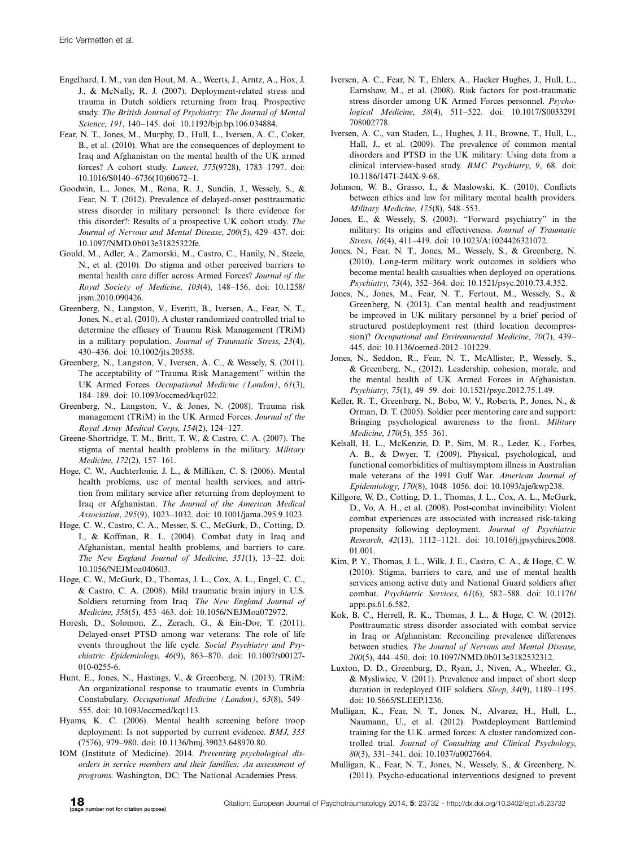- Engelhard, I. M., van den Hout, M. A., Weerts, J., Arntz, A., Hox, J. J., & McNally, R. J. (2007). Deployment-related stress and trauma in Dutch soldiers returning from Iraq. Prospective study. The British Journal of Psychiatry: The Journal of Mental Science, 191, 140-145. doi: 10.1192/bjp.bp.106.034884.
- Fear, N. T., Jones, M., Murphy, D., Hull, L., Iversen, A. C., Coker, B., et al. (2010). What are the consequences of deployment to Iraq and Afghanistan on the mental health of the UK armed forces? A cohort study. Lancet, 375(9728), 1783-1797. doi: 10.1016/S0140-6736(10)60672-1.
- Goodwin, L., Jones, M., Rona, R. J., Sundin, J., Wessely, S., & Fear, N. T. (2012). Prevalence of delayed-onset posttraumatic stress disorder in military personnel: Is there evidence for this disorder?: Results of a prospective UK cohort study. The Journal of Nervous and Mental Disease, 200(5), 429-437. doi: 10.1097/NMD.0b013e31825322fe.
- Gould, M., Adler, A., Zamorski, M., Castro, C., Hanily, N., Steele, N., et al. (2010). Do stigma and other perceived barriers to mental health care differ across Armed Forces? Journal of the Royal Society of Medicine, 103(4), 148-156. doi: 10.1258/ jrsm.2010.090426.
- Greenberg, N., Langston, V., Everitt, B., Iversen, A., Fear, N. T., Jones, N., et al. (2010). A cluster randomized controlled trial to determine the efficacy of Trauma Risk Management (TRiM) in a military population. Journal of Traumatic Stress, 23(4), 430-436. doi: 10.1002/jts.20538.
- Greenberg, N., Langston, V., Iversen, A. C., & Wessely, S. (2011). The acceptability of ''Trauma Risk Management'' within the UK Armed Forces. Occupational Medicine (London), 61(3), 184-189. doi: 10.1093/occmed/kqr022.
- Greenberg, N., Langston, V., & Jones, N. (2008). Trauma risk management (TRiM) in the UK Armed Forces. Journal of the Royal Army Medical Corps, 154(2), 124-127.
- Greene-Shortridge, T. M., Britt, T. W., & Castro, C. A. (2007). The stigma of mental health problems in the military. Military Medicine, 172(2), 157-161.
- Hoge, C. W., Auchterlonie, J. L., & Milliken, C. S. (2006). Mental health problems, use of mental health services, and attrition from military service after returning from deployment to Iraq or Afghanistan. The Journal of the American Medical Association, 295(9), 1023-1032. doi: 10.1001/jama.295.9.1023.
- Hoge, C. W., Castro, C. A., Messer, S. C., McGurk, D., Cotting, D. I., & Koffman, R. L. (2004). Combat duty in Iraq and Afghanistan, mental health problems, and barriers to care. The New England Journal of Medicine, 351(1), 13-22. doi: 10.1056/NEJMoa040603.
- Hoge, C. W., McGurk, D., Thomas, J. L., Cox, A. L., Engel, C. C., & Castro, C. A. (2008). Mild traumatic brain injury in U.S. Soldiers returning from Iraq. The New England Journal of Medicine, 358(5), 453-463. doi: 10.1056/NEJMoa072972.
- Horesh, D., Solomon, Z., Zerach, G., & Ein-Dor, T. (2011). Delayed-onset PTSD among war veterans: The role of life events throughout the life cycle. Social Psychiatry and Psychiatric Epidemiology, 46(9), 863-870. doi: 10.1007/s00127- 010-0255-6.
- Hunt, E., Jones, N., Hastings, V., & Greenberg, N. (2013). TRiM: An organizational response to traumatic events in Cumbria Constabulary. Occupational Medicine (London), 63(8), 549- 555. doi: 10.1093/occmed/kqt113.
- Hyams, K. C. (2006). Mental health screening before troop deployment: Is not supported by current evidence. BMJ, 333 (7576), 979-980. doi: 10.1136/bmj.39023.648970.80.
- IOM (Institute of Medicine). 2014. Preventing psychological disorders in service members and their families: An assessment of programs. Washington, DC: The National Academies Press.
- Iversen, A. C., Fear, N. T., Ehlers, A., Hacker Hughes, J., Hull, L., Earnshaw, M., et al. (2008). Risk factors for post-traumatic stress disorder among UK Armed Forces personnel. Psychological Medicine, 38(4), 511-522. doi: 10.1017/S0033291 708002778.
- Iversen, A. C., van Staden, L., Hughes, J. H., Browne, T., Hull, L., Hall, J., et al. (2009). The prevalence of common mental disorders and PTSD in the UK military: Using data from a clinical interview-based study. BMC Psychiatry, 9, 68. doi: 10.1186/1471-244X-9-68.
- Johnson, W. B., Grasso, I., & Maslowski, K. (2010). Conflicts between ethics and law for military mental health providers. Military Medicine, 175(8), 548-553.
- Jones, E., & Wessely, S. (2003). ''Forward psychiatry'' in the military: Its origins and effectiveness. Journal of Traumatic Stress, 16(4), 411-419. doi: 10.1023/A:1024426321072.
- Jones, N., Fear, N. T., Jones, M., Wessely, S., & Greenberg, N. (2010). Long-term military work outcomes in soldiers who become mental health casualties when deployed on operations. Psychiatry, 73(4), 352-364. doi: 10.1521/psyc.2010.73.4.352.
- Jones, N., Jones, M., Fear, N. T., Fertout, M., Wessely, S., & Greenberg, N. (2013). Can mental health and readjustment be improved in UK military personnel by a brief period of structured postdeployment rest (third location decompression)? Occupational and Environmental Medicine, 70(7), 439- 445. doi: 10.1136/oemed-2012-101229.
- Jones, N., Seddon, R., Fear, N. T., McAllister, P., Wessely, S., & Greenberg, N., (2012). Leadership, cohesion, morale, and the mental health of UK Armed Forces in Afghanistan. Psychiatry, 75(1), 49-59. doi: 10.1521/psyc.2012.75.1.49.
- Keller, R. T., Greenberg, N., Bobo, W. V., Roberts, P., Jones, N., & Orman, D. T. (2005). Soldier peer mentoring care and support: Bringing psychological awareness to the front. Military Medicine, 170(5), 355-361.
- Kelsall, H. L., McKenzie, D. P., Sim, M. R., Leder, K., Forbes, A. B., & Dwyer, T. (2009). Physical, psychological, and functional comorbidities of multisymptom illness in Australian male veterans of the 1991 Gulf War. American Journal of Epidemiology, 170(8), 1048-1056. doi: 10.1093/aje/kwp238.
- Killgore, W. D., Cotting, D. I., Thomas, J. L., Cox, A. L., McGurk, D., Vo, A. H., et al. (2008). Post-combat invincibility: Violent combat experiences are associated with increased risk-taking propensity following deployment. Journal of Psychiatric Research, 42(13), 1112-1121. doi: 10.1016/j.jpsychires.2008. 01.001.
- Kim, P. Y., Thomas, J. L., Wilk, J. E., Castro, C. A., & Hoge, C. W. (2010). Stigma, barriers to care, and use of mental health services among active duty and National Guard soldiers after combat. Psychiatric Services, 61(6), 582-588. doi: 10.1176/ appi.ps.61.6.582.
- Kok, B. C., Herrell, R. K., Thomas, J. L., & Hoge, C. W. (2012). Posttraumatic stress disorder associated with combat service in Iraq or Afghanistan: Reconciling prevalence differences between studies. The Journal of Nervous and Mental Disease, 200(5), 444-450. doi: 10.1097/NMD.0b013e3182532312.
- Luxton, D. D., Greenburg, D., Ryan, J., Niven, A., Wheeler, G., & Mysliwiec, V. (2011). Prevalence and impact of short sleep duration in redeployed OIF soldiers. Sleep, 34(9), 1189-1195. doi: 10.5665/SLEEP.1236.
- Mulligan, K., Fear, N. T., Jones, N., Alvarez, H., Hull, L., Naumann, U., et al. (2012). Postdeployment Battlemind training for the U.K. armed forces: A cluster randomized controlled trial. Journal of Consulting and Clinical Psychology, 80(3), 331-341. doi: 10.1037/a0027664.
- Mulligan, K., Fear, N. T., Jones, N., Wessely, S., & Greenberg, N. (2011). Psycho-educational interventions designed to prevent